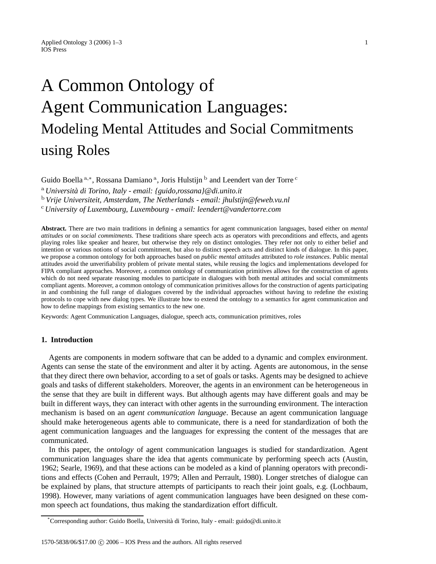# A Common Ontology of Agent Communication Languages: Modeling Mental Attitudes and Social Commitments using Roles

Guido Boella <sup>a,∗</sup>, Rossana Damiano <sup>a</sup>, Joris Hulstijn <sup>b</sup> and Leendert van der Torre <sup>c</sup>

<sup>a</sup> *Università di Torino, Italy - email: {guido,rossana}@di.unito.it*

<sup>b</sup> *Vrije Universiteit, Amsterdam, The Netherlands - email: jhulstijn@feweb.vu.nl*

<sup>c</sup> *University of Luxembourg, Luxembourg - email: leendert@vandertorre.com*

**Abstract.** There are two main traditions in defining a semantics for agent communication languages, based either on *mental attitudes* or on *social commitments*. These traditions share speech acts as operators with preconditions and effects, and agents playing roles like speaker and hearer, but otherwise they rely on distinct ontologies. They refer not only to either belief and intention or various notions of social commitment, but also to distinct speech acts and distinct kinds of dialogue. In this paper, we propose a common ontology for both approaches based on *public mental attitudes* attributed to *role instances*. Public mental attitudes avoid the unverifiability problem of private mental states, while reusing the logics and implementations developed for FIPA compliant approaches. Moreover, a common ontology of communication primitives allows for the construction of agents which do not need separate reasoning modules to participate in dialogues with both mental attitudes and social commitments compliant agents. Moreover, a common ontology of communication primitives allows for the construction of agents participating in and combining the full range of dialogues covered by the individual approaches without having to redefine the existing protocols to cope with new dialog types. We illustrate how to extend the ontology to a semantics for agent communication and how to define mappings from existing semantics to the new one.

Keywords: Agent Communication Languages, dialogue, speech acts, communication primitives, roles

## **1. Introduction**

Agents are components in modern software that can be added to a dynamic and complex environment. Agents can sense the state of the environment and alter it by acting. Agents are autonomous, in the sense that they direct there own behavior, according to a set of goals or tasks. Agents may be designed to achieve goals and tasks of different stakeholders. Moreover, the agents in an environment can be heterogeneous in the sense that they are built in different ways. But although agents may have different goals and may be built in different ways, they can interact with other agents in the surrounding environment. The interaction mechanism is based on an *agent communication language*. Because an agent communication language should make heterogeneous agents able to communicate, there is a need for standardization of both the agent communication languages and the languages for expressing the content of the messages that are communicated.

In this paper, the *ontology* of agent communication languages is studied for standardization. Agent communication languages share the idea that agents communicate by performing speech acts (Austin, 1962; Searle, 1969), and that these actions can be modeled as a kind of planning operators with preconditions and effects (Cohen and Perrault, 1979; Allen and Perrault, 1980). Longer stretches of dialogue can be explained by plans, that structure attempts of participants to reach their joint goals, e.g. (Lochbaum, 1998). However, many variations of agent communication languages have been designed on these common speech act foundations, thus making the standardization effort difficult.

<sup>\*</sup>Corresponding author: Guido Boella, Università di Torino, Italy - email: guido@di.unito.it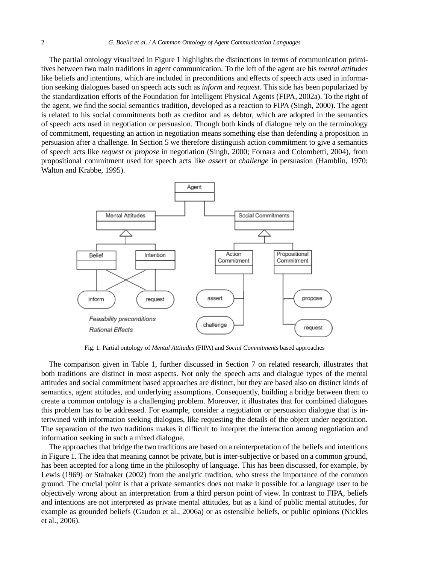The partial ontology visualized in Figure 1 highlights the distinctions in terms of communication primitives between two main traditions in agent communication. To the left of the agent are his *mental attitudes* like beliefs and intentions, which are included in preconditions and effects of speech acts used in information seeking dialogues based on speech acts such as *inform* and *request*. This side has been popularized by the standardization efforts of the Foundation for Intelligent Physical Agents (FIPA, 2002a). To the right of the agent, we find the social semantics tradition, developed as a reaction to FIPA (Singh, 2000). The agent is related to his social commitments both as creditor and as debtor, which are adopted in the semantics of speech acts used in negotiation or persuasion. Though both kinds of dialogue rely on the terminology of commitment, requesting an action in negotiation means something else than defending a proposition in persuasion after a challenge. In Section 5 we therefore distinguish action commitment to give a semantics of speech acts like *request* or *propose* in negotiation (Singh, 2000; Fornara and Colombetti, 2004), from propositional commitment used for speech acts like *assert* or *challenge* in persuasion (Hamblin, 1970; Walton and Krabbe, 1995).



Fig. 1. Partial ontology of *Mental Attitudes* (FIPA) and *Social Commitments* based approaches

The comparison given in Table 1, further discussed in Section 7 on related research, illustrates that both traditions are distinct in most aspects. Not only the speech acts and dialogue types of the mental attitudes and social commitment based approaches are distinct, but they are based also on distinct kinds of semantics, agent attitudes, and underlying assumptions. Consequently, building a bridge between them to create a common ontology is a challenging problem. Moreover, it illustrates that for combined dialogues this problem has to be addressed. For example, consider a negotiation or persuasion dialogue that is intertwined with information seeking dialogues, like requesting the details of the object under negotiation. The separation of the two traditions makes it difficult to interpret the interaction among negotiation and information seeking in such a mixed dialogue.

The approaches that bridge the two traditions are based on a reinterpretation of the beliefs and intentions in Figure 1. The idea that meaning cannot be private, but is inter-subjective or based on a common ground, has been accepted for a long time in the philosophy of language. This has been discussed, for example, by Lewis (1969) or Stalnaker (2002) from the analytic tradition, who stress the importance of the common ground. The crucial point is that a private semantics does not make it possible for a language user to be objectively wrong about an interpretation from a third person point of view. In contrast to FIPA, beliefs and intentions are not interpreted as private mental attitudes, but as a kind of public mental attitudes, for example as grounded beliefs (Gaudou et al., 2006a) or as ostensible beliefs, or public opinions (Nickles et al., 2006).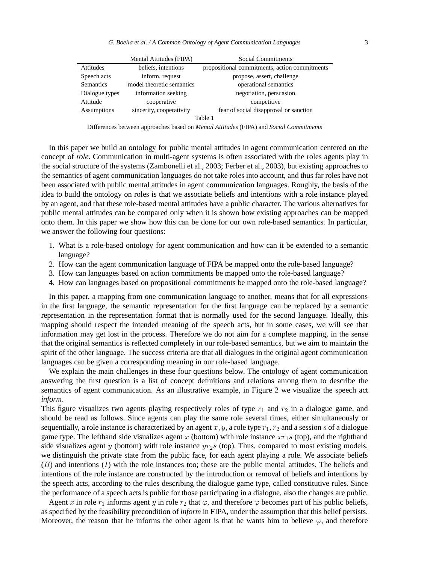|                  | Mental Attitudes (FIPA)   | Social Commitments                            |
|------------------|---------------------------|-----------------------------------------------|
| <b>Attitudes</b> | beliefs, intentions       | propositional commitments, action commitments |
| Speech acts      | inform, request           | propose, assert, challenge                    |
| <b>Semantics</b> | model theoretic semantics | operational semantics                         |
| Dialogue types   | information seeking       | negotiation, persuasion                       |
| Attitude         | cooperative               | competitive                                   |
| Assumptions      | sincerity, cooperativity  | fear of social disapproval or sanction        |
|                  |                           | Table 1                                       |

Differences between approaches based on *Mental Attitudes* (FIPA) and *Social Commitments*

In this paper we build an ontology for public mental attitudes in agent communication centered on the concept of *role*. Communication in multi-agent systems is often associated with the roles agents play in the social structure of the systems (Zambonelli et al., 2003; Ferber et al., 2003), but existing approaches to the semantics of agent communication languages do not take roles into account, and thus far roles have not been associated with public mental attitudes in agent communication languages. Roughly, the basis of the idea to build the ontology on roles is that we associate beliefs and intentions with a role instance played by an agent, and that these role-based mental attitudes have a public character. The various alternatives for public mental attitudes can be compared only when it is shown how existing approaches can be mapped onto them. In this paper we show how this can be done for our own role-based semantics. In particular, we answer the following four questions:

- 1. What is a role-based ontology for agent communication and how can it be extended to a semantic language?
- 2. How can the agent communication language of FIPA be mapped onto the role-based language?
- 3. How can languages based on action commitments be mapped onto the role-based language?
- 4. How can languages based on propositional commitments be mapped onto the role-based language?

In this paper, a mapping from one communication language to another, means that for all expressions in the first language, the semantic representation for the first language can be replaced by a semantic representation in the representation format that is normally used for the second language. Ideally, this mapping should respect the intended meaning of the speech acts, but in some cases, we will see that information may get lost in the process. Therefore we do not aim for a complete mapping, in the sense that the original semantics is reflected completely in our role-based semantics, but we aim to maintain the spirit of the other language. The success criteria are that all dialogues in the original agent communication languages can be given a corresponding meaning in our role-based language.

We explain the main challenges in these four questions below. The ontology of agent communication answering the first question is a list of concept definitions and relations among them to describe the semantics of agent communication. As an illustrative example, in Figure 2 we visualize the speech act *inform*.

This figure visualizes two agents playing respectively roles of type  $r_1$  and  $r_2$  in a dialogue game, and should be read as follows. Since agents can play the same role several times, either simultaneously or sequentially, a role instance is characterized by an agent  $x, y$ , a role type  $r_1, r_2$  and a session s of a dialogue game type. The lefthand side visualizes agent x (bottom) with role instance  $xr_1s$  (top), and the righthand side visualizes agent y (bottom) with role instance  $yr_2s$  (top). Thus, compared to most existing models, we distinguish the private state from the public face, for each agent playing a role. We associate beliefs (B) and intentions (I) with the role instances too; these are the public mental attitudes. The beliefs and intentions of the role instance are constructed by the introduction or removal of beliefs and intentions by the speech acts, according to the rules describing the dialogue game type, called constitutive rules. Since the performance of a speech acts is public for those participating in a dialogue, also the changes are public.

Agent x in role  $r_1$  informs agent y in role  $r_2$  that  $\varphi$ , and therefore  $\varphi$  becomes part of his public beliefs, as specified by the feasibility precondition of *inform* in FIPA, under the assumption that this belief persists. Moreover, the reason that he informs the other agent is that he wants him to believe  $\varphi$ , and therefore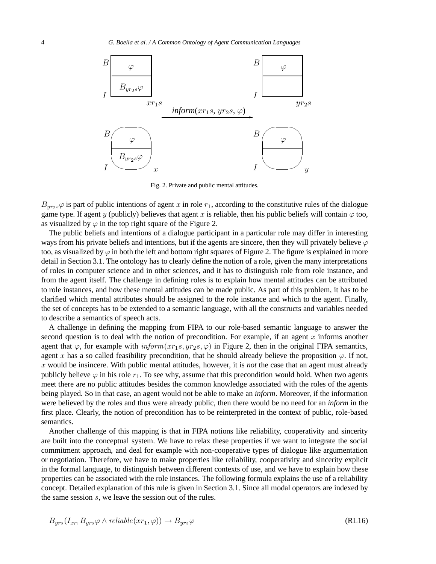

Fig. 2. Private and public mental attitudes.

 $B_{yr_2s}\varphi$  is part of public intentions of agent x in role  $r_1$ , according to the constitutive rules of the dialogue game type. If agent y (publicly) believes that agent x is reliable, then his public beliefs will contain  $\varphi$  too, as visualized by  $\varphi$  in the top right square of the Figure 2.

The public beliefs and intentions of a dialogue participant in a particular role may differ in interesting ways from his private beliefs and intentions, but if the agents are sincere, then they will privately believe  $\varphi$ too, as visualized by  $\varphi$  in both the left and bottom right squares of Figure 2. The figure is explained in more detail in Section 3.1. The ontology has to clearly define the notion of a role, given the many interpretations of roles in computer science and in other sciences, and it has to distinguish role from role instance, and from the agent itself. The challenge in defining roles is to explain how mental attitudes can be attributed to role instances, and how these mental attitudes can be made public. As part of this problem, it has to be clarified which mental attributes should be assigned to the role instance and which to the agent. Finally, the set of concepts has to be extended to a semantic language, with all the constructs and variables needed to describe a semantics of speech acts.

A challenge in defining the mapping from FIPA to our role-based semantic language to answer the second question is to deal with the notion of precondition. For example, if an agent  $x$  informs another agent that  $\varphi$ , for example with  $\text{inform}(xr_1s,yr_2s,\varphi)$  in Figure 2, then in the original FIPA semantics, agent x has a so called feasibility precondition, that he should already believe the proposition  $\varphi$ . If not, x would be insincere. With public mental attitudes, however, it is *not* the case that an agent must already publicly believe  $\varphi$  in his role  $r_1$ . To see why, assume that this precondition would hold. When two agents meet there are no public attitudes besides the common knowledge associated with the roles of the agents being played. So in that case, an agent would not be able to make an *inform*. Moreover, if the information were believed by the roles and thus were already public, then there would be no need for an *inform* in the first place. Clearly, the notion of precondition has to be reinterpreted in the context of public, role-based semantics.

Another challenge of this mapping is that in FIPA notions like reliability, cooperativity and sincerity are built into the conceptual system. We have to relax these properties if we want to integrate the social commitment approach, and deal for example with non-cooperative types of dialogue like argumentation or negotiation. Therefore, we have to make properties like reliability, cooperativity and sincerity explicit in the formal language, to distinguish between different contexts of use, and we have to explain how these properties can be associated with the role instances. The following formula explains the use of a reliability concept. Detailed explanation of this rule is given in Section 3.1. Since all modal operators are indexed by the same session s, we leave the session out of the rules.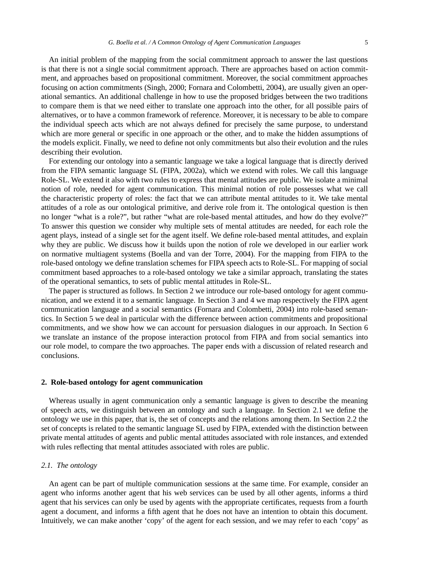An initial problem of the mapping from the social commitment approach to answer the last questions is that there is not a single social commitment approach. There are approaches based on action commitment, and approaches based on propositional commitment. Moreover, the social commitment approaches focusing on action commitments (Singh, 2000; Fornara and Colombetti, 2004), are usually given an oper-

ational semantics. An additional challenge in how to use the proposed bridges between the two traditions to compare them is that we need either to translate one approach into the other, for all possible pairs of alternatives, or to have a common framework of reference. Moreover, it is necessary to be able to compare the individual speech acts which are not always defined for precisely the same purpose, to understand which are more general or specific in one approach or the other, and to make the hidden assumptions of the models explicit. Finally, we need to define not only commitments but also their evolution and the rules describing their evolution.

For extending our ontology into a semantic language we take a logical language that is directly derived from the FIPA semantic language SL (FIPA, 2002a), which we extend with roles. We call this language Role-SL. We extend it also with two rules to express that mental attitudes are public. We isolate a minimal notion of role, needed for agent communication. This minimal notion of role possesses what we call the characteristic property of roles: the fact that we can attribute mental attitudes to it. We take mental attitudes of a role as our ontological primitive, and derive role from it. The ontological question is then no longer "what is a role?", but rather "what are role-based mental attitudes, and how do they evolve?" To answer this question we consider why multiple sets of mental attitudes are needed, for each role the agent plays, instead of a single set for the agent itself. We define role-based mental attitudes, and explain why they are public. We discuss how it builds upon the notion of role we developed in our earlier work on normative multiagent systems (Boella and van der Torre, 2004). For the mapping from FIPA to the role-based ontology we define translation schemes for FIPA speech acts to Role-SL. For mapping of social commitment based approaches to a role-based ontology we take a similar approach, translating the states of the operational semantics, to sets of public mental attitudes in Role-SL.

The paper is structured as follows. In Section 2 we introduce our role-based ontology for agent communication, and we extend it to a semantic language. In Section 3 and 4 we map respectively the FIPA agent communication language and a social semantics (Fornara and Colombetti, 2004) into role-based semantics. In Section 5 we deal in particular with the difference between action commitments and propositional commitments, and we show how we can account for persuasion dialogues in our approach. In Section 6 we translate an instance of the propose interaction protocol from FIPA and from social semantics into our role model, to compare the two approaches. The paper ends with a discussion of related research and conclusions.

#### **2. Role-based ontology for agent communication**

Whereas usually in agent communication only a semantic language is given to describe the meaning of speech acts, we distinguish between an ontology and such a language. In Section 2.1 we define the ontology we use in this paper, that is, the set of concepts and the relations among them. In Section 2.2 the set of concepts is related to the semantic language SL used by FIPA, extended with the distinction between private mental attitudes of agents and public mental attitudes associated with role instances, and extended with rules reflecting that mental attitudes associated with roles are public.

## *2.1. The ontology*

An agent can be part of multiple communication sessions at the same time. For example, consider an agent who informs another agent that his web services can be used by all other agents, informs a third agent that his services can only be used by agents with the appropriate certificates, requests from a fourth agent a document, and informs a fifth agent that he does not have an intention to obtain this document. Intuitively, we can make another 'copy' of the agent for each session, and we may refer to each 'copy' as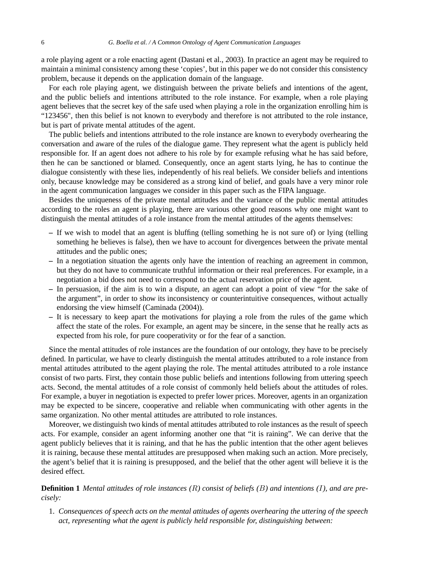a role playing agent or a role enacting agent (Dastani et al., 2003). In practice an agent may be required to maintain a minimal consistency among these 'copies', but in this paper we do not consider this consistency problem, because it depends on the application domain of the language.

For each role playing agent, we distinguish between the private beliefs and intentions of the agent, and the public beliefs and intentions attributed to the role instance. For example, when a role playing agent believes that the secret key of the safe used when playing a role in the organization enrolling him is "123456", then this belief is not known to everybody and therefore is not attributed to the role instance, but is part of private mental attitudes of the agent.

The public beliefs and intentions attributed to the role instance are known to everybody overhearing the conversation and aware of the rules of the dialogue game. They represent what the agent is publicly held responsible for. If an agent does not adhere to his role by for example refusing what he has said before, then he can be sanctioned or blamed. Consequently, once an agent starts lying, he has to continue the dialogue consistently with these lies, independently of his real beliefs. We consider beliefs and intentions only, because knowledge may be considered as a strong kind of belief, and goals have a very minor role in the agent communication languages we consider in this paper such as the FIPA language.

Besides the uniqueness of the private mental attitudes and the variance of the public mental attitudes according to the roles an agent is playing, there are various other good reasons why one might want to distinguish the mental attitudes of a role instance from the mental attitudes of the agents themselves:

- **–** If we wish to model that an agent is bluffing (telling something he is not sure of) or lying (telling something he believes is false), then we have to account for divergences between the private mental attitudes and the public ones;
- **–** In a negotiation situation the agents only have the intention of reaching an agreement in common, but they do not have to communicate truthful information or their real preferences. For example, in a negotiation a bid does not need to correspond to the actual reservation price of the agent.
- **–** In persuasion, if the aim is to win a dispute, an agent can adopt a point of view "for the sake of the argument", in order to show its inconsistency or counterintuitive consequences, without actually endorsing the view himself (Caminada (2004)).
- **–** It is necessary to keep apart the motivations for playing a role from the rules of the game which affect the state of the roles. For example, an agent may be sincere, in the sense that he really acts as expected from his role, for pure cooperativity or for the fear of a sanction.

Since the mental attitudes of role instances are the foundation of our ontology, they have to be precisely defined. In particular, we have to clearly distinguish the mental attitudes attributed to a role instance from mental attitudes attributed to the agent playing the role. The mental attitudes attributed to a role instance consist of two parts. First, they contain those public beliefs and intentions following from uttering speech acts. Second, the mental attitudes of a role consist of commonly held beliefs about the attitudes of roles. For example, a buyer in negotiation is expected to prefer lower prices. Moreover, agents in an organization may be expected to be sincere, cooperative and reliable when communicating with other agents in the same organization. No other mental attitudes are attributed to role instances.

Moreover, we distinguish two kinds of mental attitudes attributed to role instances as the result of speech acts. For example, consider an agent informing another one that "it is raining". We can derive that the agent publicly believes that it is raining, and that he has the public intention that the other agent believes it is raining, because these mental attitudes are presupposed when making such an action. More precisely, the agent's belief that it is raining is presupposed, and the belief that the other agent will believe it is the desired effect.

**Definition 1** *Mental attitudes of role instances (*R*) consist of beliefs (*B*) and intentions (*I*), and are precisely:*

1. *Consequences of speech acts on the mental attitudes of agents overhearing the uttering of the speech act, representing what the agent is publicly held responsible for, distinguishing between:*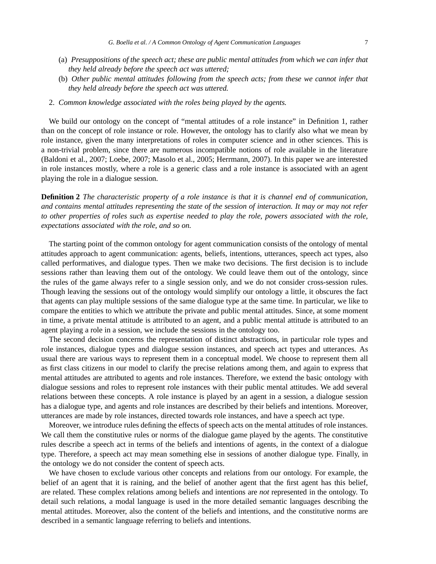- (a) *Presuppositions of the speech act; these are public mental attitudes from which we can infer that they held already before the speech act was uttered;*
- (b) *Other public mental attitudes following from the speech acts; from these we cannot infer that they held already before the speech act was uttered.*
- 2. *Common knowledge associated with the roles being played by the agents.*

We build our ontology on the concept of "mental attitudes of a role instance" in Definition 1, rather than on the concept of role instance or role. However, the ontology has to clarify also what we mean by role instance, given the many interpretations of roles in computer science and in other sciences. This is a non-trivial problem, since there are numerous incompatible notions of role available in the literature (Baldoni et al., 2007; Loebe, 2007; Masolo et al., 2005; Herrmann, 2007). In this paper we are interested in role instances mostly, where a role is a generic class and a role instance is associated with an agent playing the role in a dialogue session.

**Definition 2** *The characteristic property of a role instance is that it is channel end of communication, and contains mental attitudes representing the state of the session of interaction. It may or may not refer to other properties of roles such as expertise needed to play the role, powers associated with the role, expectations associated with the role, and so on.*

The starting point of the common ontology for agent communication consists of the ontology of mental attitudes approach to agent communication: agents, beliefs, intentions, utterances, speech act types, also called performatives, and dialogue types. Then we make two decisions. The first decision is to include sessions rather than leaving them out of the ontology. We could leave them out of the ontology, since the rules of the game always refer to a single session only, and we do not consider cross-session rules. Though leaving the sessions out of the ontology would simplify our ontology a little, it obscures the fact that agents can play multiple sessions of the same dialogue type at the same time. In particular, we like to compare the entities to which we attribute the private and public mental attitudes. Since, at some moment in time, a private mental attitude is attributed to an agent, and a public mental attitude is attributed to an agent playing a role in a session, we include the sessions in the ontology too.

The second decision concerns the representation of distinct abstractions, in particular role types and role instances, dialogue types and dialogue session instances, and speech act types and utterances. As usual there are various ways to represent them in a conceptual model. We choose to represent them all as first class citizens in our model to clarify the precise relations among them, and again to express that mental attitudes are attributed to agents and role instances. Therefore, we extend the basic ontology with dialogue sessions and roles to represent role instances with their public mental attitudes. We add several relations between these concepts. A role instance is played by an agent in a session, a dialogue session has a dialogue type, and agents and role instances are described by their beliefs and intentions. Moreover, utterances are made by role instances, directed towards role instances, and have a speech act type.

Moreover, we introduce rules defining the effects of speech acts on the mental attitudes of role instances. We call them the constitutive rules or norms of the dialogue game played by the agents. The constitutive rules describe a speech act in terms of the beliefs and intentions of agents, in the context of a dialogue type. Therefore, a speech act may mean something else in sessions of another dialogue type. Finally, in the ontology we do not consider the content of speech acts.

We have chosen to exclude various other concepts and relations from our ontology. For example, the belief of an agent that it is raining, and the belief of another agent that the first agent has this belief, are related. These complex relations among beliefs and intentions are *not* represented in the ontology. To detail such relations, a modal language is used in the more detailed semantic languages describing the mental attitudes. Moreover, also the content of the beliefs and intentions, and the constitutive norms are described in a semantic language referring to beliefs and intentions.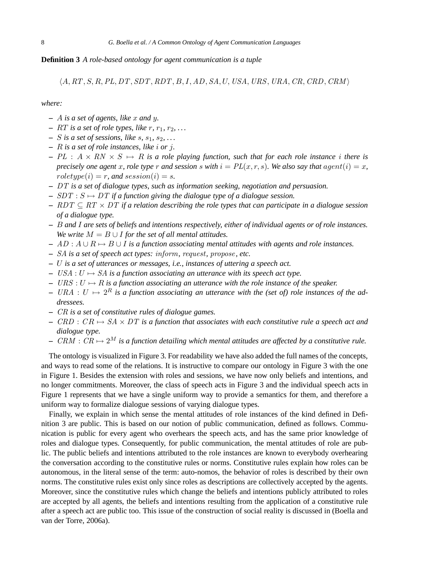#### **Definition 3** *A role-based ontology for agent communication is a tuple*

 $\langle A, RT, S, R, PL, DT, SDT, RDT, B, I, AD, SA, U, USA, URS, URA, CR, CRD, CRM \rangle$ 

*where:*

- **–** A *is a set of agents, like* x *and* y*.*
- $RT$  *is a set of role types, like r, r<sub>1</sub>, r<sub>2</sub>, ...*
- $S$  *is a set of sessions, like s, s*<sub>1</sub>*, s*<sub>2</sub>*, ...*
- **–** R *is a set of role instances, like* i *or* j*.*
- $-PL: A \times RN \times S \mapsto R$  *is a role playing function, such that for each role instance i there is precisely one agent* x*, role type* r and session s with  $i = PL(x, r, s)$ . We also say that agent  $(i) = x$ ,  $roletype(i) = r$ , and  $session(i) = s$ .
- **–** DT *is a set of dialogue types, such as information seeking, negotiation and persuasion.*
- $-$  SDT :  $S \mapsto DT$  *if a function giving the dialogue type of a dialogue session.*
- **–** RDT ⊆ RT × DT *if a relation describing the role types that can participate in a dialogue session of a dialogue type.*
- **–** B *and* I *are sets of beliefs and intentions respectively, either of individual agents or of role instances. We write*  $M = B \cup I$  *for the set of all mental attitudes.*
- **–** AD : A ∪ R 7→ B ∪ I *is a function associating mental attitudes with agents and role instances.*
- **–** SA *is a set of speech act types:* inform*,* request*,* propose*, etc.*
- **–** U *is a set of utterances or messages, i.e., instances of uttering a speech act.*
- $−$  USA : U  $\mapsto$  SA is a function associating an utterance with its speech act type.
- $−$  URS : U  $\mapsto$  R is a function associating an utterance with the role instance of the speaker.
- $-$  URA :  $U \mapsto 2^R$  is a function associating an utterance with the (set of) role instances of the ad*dressees.*
- **–** CR *is a set of constitutive rules of dialogue games.*
- $-$  CRD :  $CR \mapsto SA \times DT$  *is a function that associates with each constitutive rule a speech act and dialogue type.*
- $-$  CRM :  $CR \mapsto 2^M$  *is a function detailing which mental attitudes are affected by a constitutive rule.*

The ontology is visualized in Figure 3. For readability we have also added the full names of the concepts, and ways to read some of the relations. It is instructive to compare our ontology in Figure 3 with the one in Figure 1. Besides the extension with roles and sessions, we have now only beliefs and intentions, and no longer commitments. Moreover, the class of speech acts in Figure 3 and the individual speech acts in Figure 1 represents that we have a single uniform way to provide a semantics for them, and therefore a uniform way to formalize dialogue sessions of varying dialogue types.

Finally, we explain in which sense the mental attitudes of role instances of the kind defined in Definition 3 are public. This is based on our notion of public communication, defined as follows. Communication is public for every agent who overhears the speech acts, and has the same prior knowledge of roles and dialogue types. Consequently, for public communication, the mental attitudes of role are public. The public beliefs and intentions attributed to the role instances are known to everybody overhearing the conversation according to the constitutive rules or norms. Constitutive rules explain how roles can be autonomous, in the literal sense of the term: auto-nomos, the behavior of roles is described by their own norms. The constitutive rules exist only since roles as descriptions are collectively accepted by the agents. Moreover, since the constitutive rules which change the beliefs and intentions publicly attributed to roles are accepted by all agents, the beliefs and intentions resulting from the application of a constitutive rule after a speech act are public too. This issue of the construction of social reality is discussed in (Boella and van der Torre, 2006a).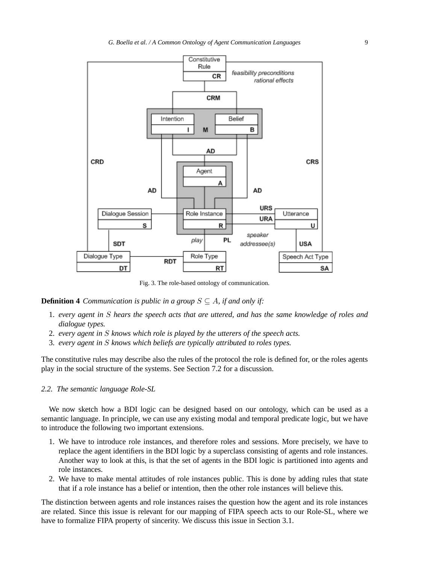

Fig. 3. The role-based ontology of communication.

#### **Definition 4** *Communication is public in a group*  $S \subseteq A$ *, if and only if:*

- 1. *every agent in* S *hears the speech acts that are uttered, and has the same knowledge of roles and dialogue types.*
- 2. *every agent in* S *knows which role is played by the utterers of the speech acts.*
- 3. *every agent in* S *knows which beliefs are typically attributed to roles types.*

The constitutive rules may describe also the rules of the protocol the role is defined for, or the roles agents play in the social structure of the systems. See Section 7.2 for a discussion.

#### *2.2. The semantic language Role-SL*

We now sketch how a BDI logic can be designed based on our ontology, which can be used as a semantic language. In principle, we can use any existing modal and temporal predicate logic, but we have to introduce the following two important extensions.

- 1. We have to introduce role instances, and therefore roles and sessions. More precisely, we have to replace the agent identifiers in the BDI logic by a superclass consisting of agents and role instances. Another way to look at this, is that the set of agents in the BDI logic is partitioned into agents and role instances.
- 2. We have to make mental attitudes of role instances public. This is done by adding rules that state that if a role instance has a belief or intention, then the other role instances will believe this.

The distinction between agents and role instances raises the question how the agent and its role instances are related. Since this issue is relevant for our mapping of FIPA speech acts to our Role-SL, where we have to formalize FIPA property of sincerity. We discuss this issue in Section 3.1.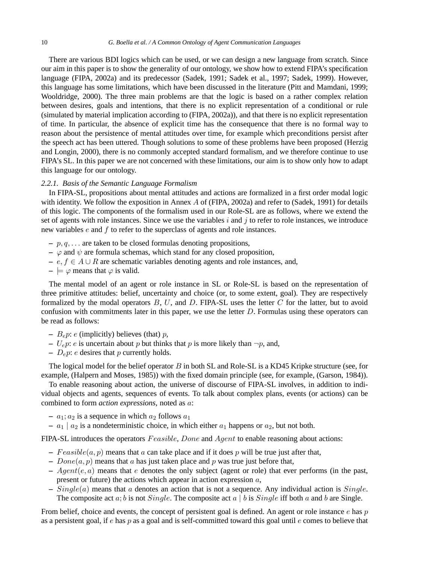#### 10 *G. Boella et al. / A Common Ontology of Agent Communication Languages*

There are various BDI logics which can be used, or we can design a new language from scratch. Since our aim in this paper is to show the generality of our ontology, we show how to extend FIPA's specification language (FIPA, 2002a) and its predecessor (Sadek, 1991; Sadek et al., 1997; Sadek, 1999). However, this language has some limitations, which have been discussed in the literature (Pitt and Mamdani, 1999; Wooldridge, 2000). The three main problems are that the logic is based on a rather complex relation between desires, goals and intentions, that there is no explicit representation of a conditional or rule (simulated by material implication according to (FIPA, 2002a)), and that there is no explicit representation of time. In particular, the absence of explicit time has the consequence that there is no formal way to reason about the persistence of mental attitudes over time, for example which preconditions persist after the speech act has been uttered. Though solutions to some of these problems have been proposed (Herzig and Longin, 2000), there is no commonly accepted standard formalism, and we therefore continue to use FIPA's SL. In this paper we are not concerned with these limitations, our aim is to show only how to adapt this language for our ontology.

#### *2.2.1. Basis of the Semantic Language Formalism*

In FIPA-SL, propositions about mental attitudes and actions are formalized in a first order modal logic with identity. We follow the exposition in Annex A of (FIPA, 2002a) and refer to (Sadek, 1991) for details of this logic. The components of the formalism used in our Role-SL are as follows, where we extend the set of agents with role instances. Since we use the variables  $i$  and  $j$  to refer to role instances, we introduce new variables  $e$  and  $f$  to refer to the superclass of agents and role instances.

- **–** p,q,... are taken to be closed formulas denoting propositions,
- $-\varphi$  and  $\psi$  are formula schemas, which stand for any closed proposition,
- **–** e,f ∈ A ∪ R are schematic variables denoting agents and role instances, and,
- $\models \varphi$  means that  $\varphi$  is valid.

The mental model of an agent or role instance in SL or Role-SL is based on the representation of three primitive attitudes: belief, uncertainty and choice (or, to some extent, goal). They are respectively formalized by the modal operators  $B, U$ , and  $D$ . FIPA-SL uses the letter  $C$  for the latter, but to avoid confusion with commitments later in this paper, we use the letter D. Formulas using these operators can be read as follows:

- $B_e p$ : *e* (implicitly) believes (that) *p*,
- $U_e p$ : e is uncertain about p but thinks that p is more likely than  $\neg p$ , and,
- $D_e p$ :  $e$  desires that  $p$  currently holds.

The logical model for the belief operator B in both SL and Role-SL is a KD45 Kripke structure (see, for example, (Halpern and Moses, 1985)) with the fixed domain principle (see, for example, (Garson, 1984)).

To enable reasoning about action, the universe of discourse of FIPA-SL involves, in addition to individual objects and agents, sequences of events. To talk about complex plans, events (or actions) can be combined to form *action expressions*, noted as a:

- $a_1$ ;  $a_2$  is a sequence in which  $a_2$  follows  $a_1$
- $a_1 | a_2$  is a nondeterministic choice, in which either  $a_1$  happens or  $a_2$ , but not both.

FIPA-SL introduces the operators Feasible, Done and Agent to enable reasoning about actions:

- $-Feasible(a, p)$  means that a can take place and if it does p will be true just after that,
- $Done(a, p)$  means that a has just taken place and p was true just before that,
- $\mu$   *Agent*(e, a) means that e denotes the only subject (agent or role) that ever performs (in the past, present or future) the actions which appear in action expression  $a$ ,
- **–** Single(a) means that a denotes an action that is not a sequence. Any individual action is Single. The composite act  $a$ ;  $b$  is not *Single*. The composite act  $a \mid b$  is *Single* iff both  $a$  and  $b$  are Single.

From belief, choice and events, the concept of persistent goal is defined. An agent or role instance  $e$  has  $p$ as a persistent goal, if  $e$  has  $p$  as a goal and is self-committed toward this goal until  $e$  comes to believe that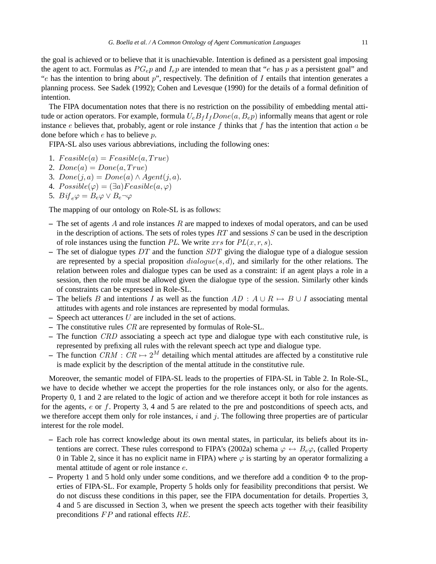the goal is achieved or to believe that it is unachievable. Intention is defined as a persistent goal imposing the agent to act. Formulas as  $PG_{e}p$  and  $I_{e}p$  are intended to mean that "e has p as a persistent goal" and "e has the intention to bring about  $p$ ", respectively. The definition of  $I$  entails that intention generates a planning process. See Sadek (1992); Cohen and Levesque (1990) for the details of a formal definition of intention.

The FIPA documentation notes that there is no restriction on the possibility of embedding mental attitude or action operators. For example, formula  $U_eB_fI_fDone(a, B_e p)$  informally means that agent or role instance e believes that, probably, agent or role instance f thinks that f has the intention that action a be done before which e has to believe p.

FIPA-SL also uses various abbreviations, including the following ones:

- 1.  $Feasible(a) = Feasible(a, True)$
- 2.  $Done(a) = Done(a, True)$
- 3.  $Done(j, a) = Done(a) \wedge Agent(j, a).$
- 4.  $Possible(\varphi) = (\exists a) Feasible(a, \varphi)$
- 5. Bif<sub>e</sub> $\varphi = B_e \varphi \vee B_e \neg \varphi$

The mapping of our ontology on Role-SL is as follows:

- **–** The set of agents A and role instances R are mapped to indexes of modal operators, and can be used in the description of actions. The sets of roles types  $RT$  and sessions  $S$  can be used in the description of role instances using the function PL. We write  $xrs$  for  $PL(x, r, s)$ .
- **–** The set of dialogue types DT and the function SDT giving the dialogue type of a dialogue session are represented by a special proposition  $dialogue(s, d)$ , and similarly for the other relations. The relation between roles and dialogue types can be used as a constraint: if an agent plays a role in a session, then the role must be allowed given the dialogue type of the session. Similarly other kinds of constraints can be expressed in Role-SL.
- The beliefs B and intentions I as well as the function  $AD : A \cup R \mapsto B \cup I$  associating mental attitudes with agents and role instances are represented by modal formulas.
- **–** Speech act utterances U are included in the set of actions.
- **–** The constitutive rules CR are represented by formulas of Role-SL.
- **–** The function CRD associating a speech act type and dialogue type with each constitutive rule, is represented by prefixing all rules with the relevant speech act type and dialogue type.
- The function  $CRM : CR \mapsto 2^M$  detailing which mental attitudes are affected by a constitutive rule is made explicit by the description of the mental attitude in the constitutive rule.

Moreover, the semantic model of FIPA-SL leads to the properties of FIPA-SL in Table 2. In Role-SL, we have to decide whether we accept the properties for the role instances only, or also for the agents. Property 0, 1 and 2 are related to the logic of action and we therefore accept it both for role instances as for the agents, e or f. Property 3, 4 and 5 are related to the pre and postconditions of speech acts, and we therefore accept them only for role instances,  $i$  and  $j$ . The following three properties are of particular interest for the role model.

- **–** Each role has correct knowledge about its own mental states, in particular, its beliefs about its intentions are correct. These rules correspond to FIPA's (2002a) schema  $\varphi \leftrightarrow B_e\varphi$ , (called Property 0 in Table 2, since it has no explicit name in FIPA) where  $\varphi$  is starting by an operator formalizing a mental attitude of agent or role instance e.
- $\sim$  Property 1 and 5 hold only under some conditions, and we therefore add a condition  $\Phi$  to the properties of FIPA-SL. For example, Property 5 holds only for feasibility preconditions that persist. We do not discuss these conditions in this paper, see the FIPA documentation for details. Properties 3, 4 and 5 are discussed in Section 3, when we present the speech acts together with their feasibility preconditions FP and rational effects RE.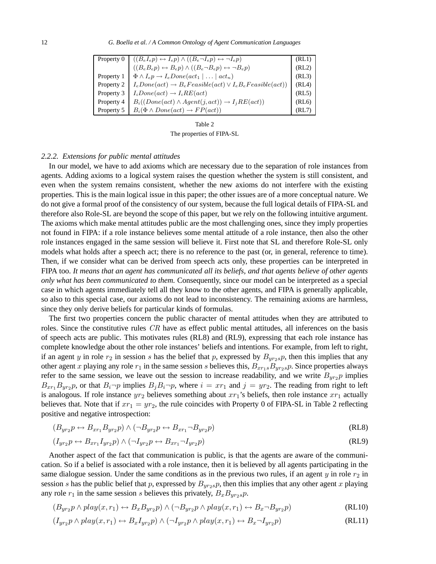| Property 0 |                                                                                                                                                                                                                  | (RL1) |
|------------|------------------------------------------------------------------------------------------------------------------------------------------------------------------------------------------------------------------|-------|
|            | $\begin{cases} ((B_e I_e p) \leftrightarrow I_e p) \wedge ((B_e \neg I_e p) \leftrightarrow \neg I_e p) \\ ((B_e B_e p) \leftrightarrow B_e p) \wedge ((B_e \neg B_e p) \leftrightarrow \neg B_e p) \end{cases}$ | (RL2) |
| Property 1 | $\Phi \wedge I_e p \rightarrow I_e Done(\text{act}_1 \mid \ldots \mid \text{act}_n)$                                                                                                                             | (RL3) |
| Property 2 | $I_eDone (act) \rightarrow B_eFeasible (act) \vee I_eB_eFeasible (act))$                                                                                                                                         | (RL4) |
| Property 3 | $I_iDone(act) \rightarrow I_iRE(act)$                                                                                                                                                                            | (RL5) |
| Property 4 | $B_i((Done(act) \wedge Agent(j,act)) \rightarrow I_jRE(act))$                                                                                                                                                    | (RL6) |
| Property 5 | $B_i(\Phi \wedge Done(\mathit{act}) \rightarrow FP(\mathit{act}))$                                                                                                                                               | (RL7) |

Table 2 The properties of FIPA-SL

#### *2.2.2. Extensions for public mental attitudes*

In our model, we have to add axioms which are necessary due to the separation of role instances from agents. Adding axioms to a logical system raises the question whether the system is still consistent, and even when the system remains consistent, whether the new axioms do not interfere with the existing properties. This is the main logical issue in this paper; the other issues are of a more conceptual nature. We do not give a formal proof of the consistency of our system, because the full logical details of FIPA-SL and therefore also Role-SL are beyond the scope of this paper, but we rely on the following intuitive argument. The axioms which make mental attitudes public are the most challenging ones, since they imply properties not found in FIPA: if a role instance believes some mental attitude of a role instance, then also the other role instances engaged in the same session will believe it. First note that SL and therefore Role-SL only models what holds after a speech act; there is no reference to the past (or, in general, reference to time). Then, if we consider what can be derived from speech acts only, these properties can be interpreted in FIPA too. *It means that an agent has communicated all its beliefs, and that agents believe of other agents only what has been communicated to them.* Consequently, since our model can be interpreted as a special case in which agents immediately tell all they know to the other agents, and FIPA is generally applicable, so also to this special case, our axioms do not lead to inconsistency. The remaining axioms are harmless, since they only derive beliefs for particular kinds of formulas.

The first two properties concern the public character of mental attitudes when they are attributed to roles. Since the constitutive rules CR have as effect public mental attitudes, all inferences on the basis of speech acts are public. This motivates rules (RL8) and (RL9), expressing that each role instance has complete knowledge about the other role instances' beliefs and intentions. For example, from left to right, if an agent y in role  $r_2$  in session s has the belief that p, expressed by  $B_{\nu r_2s}p$ , then this implies that any other agent x playing any role  $r_1$  in the same session s believes this,  $B_{xr_1s}B_{yr_2s}p$ . Since properties always refer to the same session, we leave out the session to increase readability, and we write  $B_{yr2}p$  implies  $B_{xr_1}B_{yr_2}p$ , or that  $B_i\neg p$  implies  $B_jB_i\neg p$ , where  $i = xr_1$  and  $j = yr_2$ . The reading from right to left is analogous. If role instance  $yr_2$  believes something about  $xr_1$ 's beliefs, then role instance  $xr_1$  actually believes that. Note that if  $xr_1 = yr_2$ , the rule coincides with Property 0 of FIPA-SL in Table 2 reflecting positive and negative introspection:

$$
(B_{yr_2}p \leftrightarrow B_{xr_1}B_{yr_2}p) \land (\neg B_{yr_2}p \leftrightarrow B_{xr_1} \neg B_{yr_2}p) \tag{RL8}
$$

$$
(I_{yr2}p \leftrightarrow B_{xr_1}I_{yr2}p) \land (\neg I_{yr2}p \leftrightarrow B_{xr_1} \neg I_{yr2}p)
$$
\n(RL9)

Another aspect of the fact that communication is public, is that the agents are aware of the communication. So if a belief is associated with a role instance, then it is believed by all agents participating in the same dialogue session. Under the same conditions as in the previous two rules, if an agent  $y$  in role  $r_2$  in session s has the public belief that p, expressed by  $B_{\nu r_2s}p$ , then this implies that any other agent x playing any role  $r_1$  in the same session s believes this privately,  $B_x B_{\nu r_2s} p$ .

$$
(B_{yr_2}p \land play(x, r_1) \leftrightarrow B_xB_{yr_2}p) \land (\neg B_{yr_2}p \land play(x, r_1) \leftrightarrow B_x \neg B_{yr_2}p) \tag{RL10}
$$

$$
(I_{yr_2}p \land play(x, r_1) \leftrightarrow B_xI_{yr_2}p) \land (\neg I_{yr_2}p \land play(x, r_1) \leftrightarrow B_x \neg I_{yr_2}p) \tag{RL11}
$$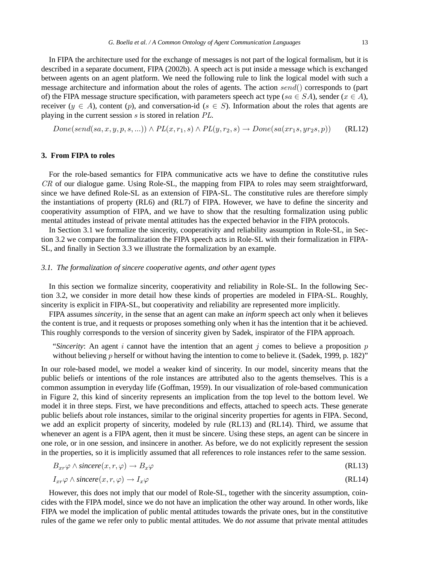In FIPA the architecture used for the exchange of messages is not part of the logical formalism, but it is described in a separate document, FIPA (2002b). A speech act is put inside a message which is exchanged between agents on an agent platform. We need the following rule to link the logical model with such a message architecture and information about the roles of agents. The action send() corresponds to (part of) the FIPA message structure specification, with parameters speech act type (sa  $\in SA$ ), sender ( $x \in A$ ), receiver ( $y \in A$ ), content (p), and conversation-id ( $s \in S$ ). Information about the roles that agents are playing in the current session s is stored in relation PL.

 $Done(send(sa, x, y, p, s, ...)) \wedge PL(x, r_1, s) \wedge PL(y, r_2, s) \rightarrow Done(sa(xr_1s, yr_2s, p))$  (RL12)

#### **3. From FIPA to roles**

For the role-based semantics for FIPA communicative acts we have to define the constitutive rules CR of our dialogue game. Using Role-SL, the mapping from FIPA to roles may seem straightforward, since we have defined Role-SL as an extension of FIPA-SL. The constitutive rules are therefore simply the instantiations of property (RL6) and (RL7) of FIPA. However, we have to define the sincerity and cooperativity assumption of FIPA, and we have to show that the resulting formalization using public mental attitudes instead of private mental attitudes has the expected behavior in the FIPA protocols.

In Section 3.1 we formalize the sincerity, cooperativity and reliability assumption in Role-SL, in Section 3.2 we compare the formalization the FIPA speech acts in Role-SL with their formalization in FIPA-SL, and finally in Section 3.3 we illustrate the formalization by an example.

## *3.1. The formalization of sincere cooperative agents, and other agent types*

In this section we formalize sincerity, cooperativity and reliability in Role-SL. In the following Section 3.2, we consider in more detail how these kinds of properties are modeled in FIPA-SL. Roughly, sincerity is explicit in FIPA-SL, but cooperativity and reliability are represented more implicitly.

FIPA assumes *sincerity*, in the sense that an agent can make an *inform* speech act only when it believes the content is true, and it requests or proposes something only when it has the intention that it be achieved. This roughly corresponds to the version of sincerity given by Sadek, inspirator of the FIPA approach.

"*Sincerity*: An agent i cannot have the intention that an agent j comes to believe a proposition  $p$ without believing p herself or without having the intention to come to believe it. (Sadek, 1999, p. 182)"

In our role-based model, we model a weaker kind of sincerity. In our model, sincerity means that the public beliefs or intentions of the role instances are attributed also to the agents themselves. This is a common assumption in everyday life (Goffman, 1959). In our visualization of role-based communication in Figure 2, this kind of sincerity represents an implication from the top level to the bottom level. We model it in three steps. First, we have preconditions and effects, attached to speech acts. These generate public beliefs about role instances, similar to the original sincerity properties for agents in FIPA. Second, we add an explicit property of sincerity, modeled by rule (RL13) and (RL14). Third, we assume that whenever an agent is a FIPA agent, then it must be sincere. Using these steps, an agent can be sincere in one role, or in one session, and insincere in another. As before, we do not explicitly represent the session in the properties, so it is implicitly assumed that all references to role instances refer to the same session.

$$
B_{xr}\varphi \wedge \textit{since } (x, r, \varphi) \to B_x \varphi \tag{RL13}
$$

$$
I_{xr}\varphi \wedge \textit{since} \, re(x,r,\varphi) \to I_x\varphi \tag{RL14}
$$

However, this does not imply that our model of Role-SL, together with the sincerity assumption, coincides with the FIPA model, since we do not have an implication the other way around. In other words, like FIPA we model the implication of public mental attitudes towards the private ones, but in the constitutive rules of the game we refer only to public mental attitudes. We do *not* assume that private mental attitudes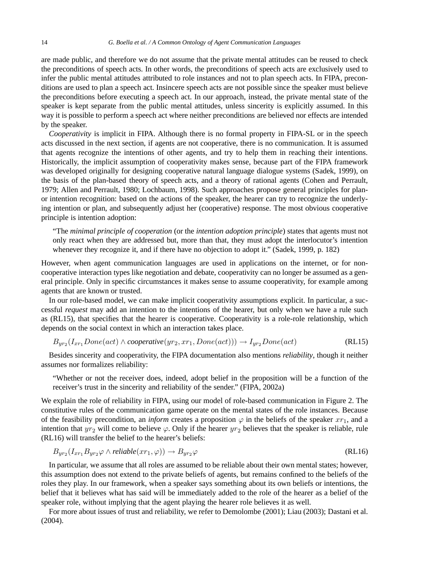are made public, and therefore we do not assume that the private mental attitudes can be reused to check the preconditions of speech acts. In other words, the preconditions of speech acts are exclusively used to infer the public mental attitudes attributed to role instances and not to plan speech acts. In FIPA, preconditions are used to plan a speech act. Insincere speech acts are not possible since the speaker must believe the preconditions before executing a speech act. In our approach, instead, the private mental state of the speaker is kept separate from the public mental attitudes, unless sincerity is explicitly assumed. In this way it is possible to perform a speech act where neither preconditions are believed nor effects are intended by the speaker.

*Cooperativity* is implicit in FIPA. Although there is no formal property in FIPA-SL or in the speech acts discussed in the next section, if agents are not cooperative, there is no communication. It is assumed that agents recognize the intentions of other agents, and try to help them in reaching their intentions. Historically, the implicit assumption of cooperativity makes sense, because part of the FIPA framework was developed originally for designing cooperative natural language dialogue systems (Sadek, 1999), on the basis of the plan-based theory of speech acts, and a theory of rational agents (Cohen and Perrault, 1979; Allen and Perrault, 1980; Lochbaum, 1998). Such approaches propose general principles for planor intention recognition: based on the actions of the speaker, the hearer can try to recognize the underlying intention or plan, and subsequently adjust her (cooperative) response. The most obvious cooperative principle is intention adoption:

"The *minimal principle of cooperation* (or the *intention adoption principle*) states that agents must not only react when they are addressed but, more than that, they must adopt the interlocutor's intention whenever they recognize it, and if there have no objection to adopt it." (Sadek, 1999, p. 182)

However, when agent communication languages are used in applications on the internet, or for noncooperative interaction types like negotiation and debate, cooperativity can no longer be assumed as a general principle. Only in specific circumstances it makes sense to assume cooperativity, for example among agents that are known or trusted.

In our role-based model, we can make implicit cooperativity assumptions explicit. In particular, a successful *request* may add an intention to the intentions of the hearer, but only when we have a rule such as (RL15), that specifies that the hearer is cooperative. Cooperativity is a role-role relationship, which depends on the social context in which an interaction takes place.

$$
B_{yr_2}(I_{xr_1} Done(act) \land cooperative(yr_2, xr_1, Done(act))) \rightarrow I_{yr_2} Done(act)
$$
\n(RL15)

Besides sincerity and cooperativity, the FIPA documentation also mentions *reliability*, though it neither assumes nor formalizes reliability:

"Whether or not the receiver does, indeed, adopt belief in the proposition will be a function of the receiver's trust in the sincerity and reliability of the sender." (FIPA, 2002a)

We explain the role of reliability in FIPA, using our model of role-based communication in Figure 2. The constitutive rules of the communication game operate on the mental states of the role instances. Because of the feasibility precondition, an *inform* creates a proposition  $\varphi$  in the beliefs of the speaker  $xr_1$ , and a intention that  $yr_2$  will come to believe  $\varphi$ . Only if the hearer  $yr_2$  believes that the speaker is reliable, rule (RL16) will transfer the belief to the hearer's beliefs:

$$
B_{yr_2}(I_{xr_1}B_{yr_2}\varphi \wedge reliable(xr_1,\varphi)) \to B_{yr_2}\varphi \tag{RL16}
$$

In particular, we assume that all roles are assumed to be reliable about their own mental states; however, this assumption does not extend to the private beliefs of agents, but remains confined to the beliefs of the roles they play. In our framework, when a speaker says something about its own beliefs or intentions, the belief that it believes what has said will be immediately added to the role of the hearer as a belief of the speaker role, without implying that the agent playing the hearer role believes it as well.

For more about issues of trust and reliability, we refer to Demolombe (2001); Liau (2003); Dastani et al. (2004).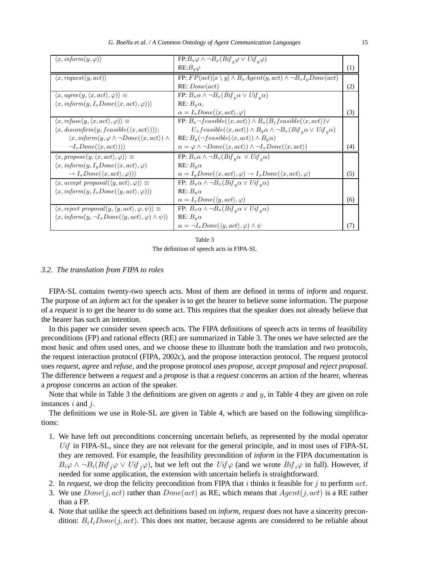| $\langle x, \text{inform}(y, \varphi) \rangle$                                                                | $FP:B_x\varphi \wedge \neg B_x(Bif_y\varphi \vee Uif_y\varphi)$                                           |     |
|---------------------------------------------------------------------------------------------------------------|-----------------------------------------------------------------------------------------------------------|-----|
|                                                                                                               | $RE: B_u\varphi$                                                                                          | (1) |
| $\langle x, request(y, act) \rangle$                                                                          | FP: $FP(act)[x \setminus y] \wedge B_xAgent(y,act) \wedge \neg B_xI_yDone(act)$                           |     |
|                                                                                                               | RE: Done(act)                                                                                             | (2) |
| $\langle x, \textit{agree}(y, \langle x, \textit{act} \rangle, \varphi) \rangle \equiv$                       | FP: $B_x \alpha \wedge \neg B_x (Bif_y \alpha \vee Uif_y \alpha)$                                         |     |
| $\langle x, \text{inform}(y, I_x\nDone(\langle x, \text{act}\rangle, \varphi))\rangle$                        | RE: $B_u \alpha$ ,                                                                                        |     |
|                                                                                                               | $\alpha = I_x Done(\langle x, act \rangle, \varphi)$                                                      | (3) |
| $\langle x, \text{refuse}(y, \langle x, \text{act} \rangle, \varphi) \rangle \equiv$                          | FP: $B_x \neg feasible(\langle x, act \rangle) \wedge B_x(B_j feasible(\langle x, act \rangle)) \vee$     |     |
| $\langle x, disconfirm(y, feasible(\langle x, act \rangle))\rangle;$                                          | $U_x feasible(\langle x, act \rangle) \wedge B_y \alpha \wedge \neg B_x (Bif_y \alpha \vee Uif_y \alpha)$ |     |
| $\langle x, \text{inform}(y, \varphi \wedge \neg \text{Done}(\langle x, \text{act} \rangle) \wedge$           | RE: $B_y(\neg feasible(\langle x, act \rangle) \wedge B_y \alpha)$                                        |     |
| $\neg I_xDone(\langle x, act \rangle))$                                                                       | $\alpha = \varphi \wedge \neg Done(\langle x, act \rangle) \wedge \neg I_x Done(\langle x, act \rangle)$  | (4) |
| $\langle x, \text{propose}(y, \langle x, \text{act}\rangle, \varphi) \rangle \equiv$                          | FP: $B_x \alpha \wedge \neg B_x (Bif_y \alpha \vee Uif_y \alpha)$                                         |     |
| $\langle x, \text{inform}(y, I_y\nDone(\langle x, \text{act}\rangle, \varphi)$                                | RE: $B_u\alpha$                                                                                           |     |
| $\rightarrow I_xDone(\langle x, act \rangle, \varphi))$                                                       | $\alpha = I_y Done(\langle x, act \rangle, \varphi) \rightarrow I_xDone(\langle x, act \rangle, \varphi)$ | (5) |
| $\langle x, accept \text{ proposal}(\langle y, act \rangle, \varphi) \rangle \equiv$                          | FP: $B_x \alpha \wedge \neg B_x (Bif_y \alpha \vee Uif_y \alpha)$                                         |     |
| $\langle x, \text{inform}(y, I_x\nDone(\langle y, act \rangle, \varphi)) \rangle$                             | RE: $B_u\alpha$                                                                                           |     |
|                                                                                                               | $\alpha = I_xDone(\langle y, act \rangle, \varphi)$                                                       | (6) |
| $\langle x, reject \; proposal(y, \langle y, act \rangle, \varphi, \psi) \rangle \equiv$                      | FP: $B_x \alpha \wedge \neg B_x (Bif_y \alpha \vee Uif_y \alpha)$                                         |     |
| $\langle x, \text{inform}(y, \neg I_x \text{Done}(\langle y, \text{act}\rangle, \varphi) \land \psi) \rangle$ | RE: $B_u \alpha$                                                                                          |     |
|                                                                                                               | $\alpha = \neg I_x Done(\langle y, act \rangle, \varphi) \wedge \psi$                                     | CZ. |

The definition of speech acts in FIPA-SL

#### *3.2. The translation from FIPA to roles*

FIPA-SL contains twenty-two speech acts. Most of them are defined in terms of *inform* and *request*. The purpose of an *inform* act for the speaker is to get the hearer to believe some information. The purpose of a *request* is to get the hearer to do some act. This requires that the speaker does not already believe that the hearer has such an intention.

In this paper we consider seven speech acts. The FIPA definitions of speech acts in terms of feasibility preconditions (FP) and rational effects (RE) are summarized in Table 3. The ones we have selected are the most basic and often used ones, and we choose these to illustrate both the translation and two protocols, the request interaction protocol (FIPA, 2002c), and the propose interaction protocol. The request protocol uses *request*, *agree* and *refuse*, and the propose protocol uses *propose*, *accept proposal* and *reject proposal*. The difference between a *request* and a *propose* is that a *request* concerns an action of the hearer, whereas a *propose* concerns an action of the speaker.

Note that while in Table 3 the definitions are given on agents x and y, in Table 4 they are given on role instances *i* and *j*.

The definitions we use in Role-SL are given in Table 4, which are based on the following simplifications:

- 1. We have left out preconditions concerning uncertain beliefs, as represented by the modal operator Uif in FIPA-SL, since they are not relevant for the general principle, and in most uses of FIPA-SL they are removed. For example, the feasibility precondition of *inform* in the FIPA documentation is  $B_i\varphi \wedge \neg B_i(Bif_j\varphi \vee Uif_j\varphi)$ , but we left out the  $Uif\varphi$  (and we wrote  $Bif_i\varphi$  in full). However, if needed for some application, the extension with uncertain beliefs is straightforward.
- 2. In *request*, we drop the felicity precondition from FIPA that  $i$  thinks it feasible for  $j$  to perform  $act$ .
- 3. We use  $Done(j, act)$  rather than  $Done(act)$  as RE, which means that  $Agent(j, act)$  is a RE rather than a FP.
- 4. Note that unlike the speech act definitions based on *inform*, *request* does not have a sincerity precondition:  $B_iI_iDone(j,act)$ . This does not matter, because agents are considered to be reliable about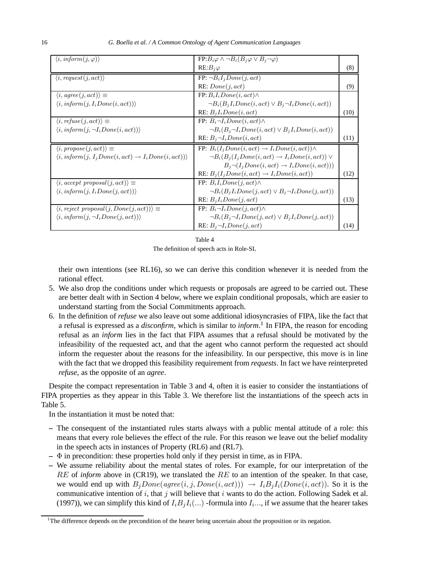| $\langle i, \text{inform}(j, \varphi) \rangle$                                         | $FP:B_i\varphi \wedge \neg B_i(B_j\varphi \vee B_j \neg \varphi)$ |      |
|----------------------------------------------------------------------------------------|-------------------------------------------------------------------|------|
|                                                                                        | $RE:B_j\varphi$                                                   | (8)  |
| $\langle i, request(j, act) \rangle$                                                   | $FP: \neg B_iI_jDone(j, act)$                                     |      |
|                                                                                        | RE: Done(j, act)                                                  | (9)  |
| $\langle i, agree(j,act)\rangle \equiv$                                                | $FP: B_iI_iDone(i, act) \wedge$                                   |      |
| $\langle i, \text{inform}(j, I_i Done(i, act)) \rangle$                                | $\neg B_i(B_iI_iDone(i,act) \vee B_i\neg I_iDone(i,act))$         |      |
|                                                                                        | RE: $B_iI_iDone(i,act)$                                           | (10) |
| $\langle i, reflex(j, act) \rangle \equiv$                                             | FP: $B_i \neg I_i Done(i, act) \wedge$                            |      |
| $\langle i, \text{inform}(j, \neg I_i Done(i, act)) \rangle$                           | $\neg B_i(B_j \neg I_i Done(i, act) \vee B_jI_iDone(i, act))$     |      |
|                                                                                        | RE: $B_i \neg I_i$ Done(i, act)                                   | (11) |
| $\langle i, \text{propose}(j, \text{act}) \rangle \equiv$                              | FP: $B_i(I_iDone(i, act) \rightarrow I_iDone(i, act)) \wedge$     |      |
| $\langle i, \text{inform}(j, I_j\nDone(i, act) \rightarrow I_i\nDone(i, act)) \rangle$ | $\neg B_i(B_i(I_iDone(i, act) \rightarrow I_iDone(i, act)) \vee$  |      |
|                                                                                        | $B_i \neg (I_i Done(i, act) \rightarrow I_iDone(i, act))$         |      |
|                                                                                        | RE: $B_j(I_jDone(i, act) \rightarrow I_iDone(i, act))$            | (12) |
| $\langle i, accept \; proposal(j, act) \rangle \equiv$                                 | FP: $B_iI_iDone(i, act) \wedge$                                   |      |
| $\langle i, \text{inform}(j, I_i Done(j, act)) \rangle$                                | $\neg B_i(B_jI_iDone(j,act) \vee B_j\neg I_iDone(j,act))$         |      |
|                                                                                        | RE: $B_iI_iDone(j, act)$                                          | (13) |
| $\langle i, reject \; proposal(j, Done(j, act)) \rangle \equiv$                        | FP: $B_i \neg I_i$ Done(j, act) $\wedge$                          |      |
| $\langle i, \text{inform}(j, \neg I_i Done(j, act)) \rangle$                           | $\neg B_i(B_i \neg I_i Done(j, act) \vee B_iI_iDone(j, act))$     |      |
|                                                                                        | RE: $B_i \neg I_i$ Done(j, act)                                   | (14) |

The definition of speech acts in Role-SL

their own intentions (see RL16), so we can derive this condition whenever it is needed from the rational effect.

- 5. We also drop the conditions under which requests or proposals are agreed to be carried out. These are better dealt with in Section 4 below, where we explain conditional proposals, which are easier to understand starting from the Social Commitments approach.
- 6. In the definition of *refuse* we also leave out some additional idiosyncrasies of FIPA, like the fact that a refusal is expressed as a *disconfirm*, which is similar to *inform*. 1 In FIPA, the reason for encoding refusal as an *inform* lies in the fact that FIPA assumes that a refusal should be motivated by the infeasibility of the requested act, and that the agent who cannot perform the requested act should inform the requester about the reasons for the infeasibility. In our perspective, this move is in line with the fact that we dropped this feasibility requirement from *requests*. In fact we have reinterpreted *refuse*, as the opposite of an *agree*.

Despite the compact representation in Table 3 and 4, often it is easier to consider the instantiations of FIPA properties as they appear in this Table 3. We therefore list the instantiations of the speech acts in Table 5.

In the instantiation it must be noted that:

- **–** The consequent of the instantiated rules starts always with a public mental attitude of a role: this means that every role believes the effect of the rule. For this reason we leave out the belief modality in the speech acts in instances of Property (RL6) and (RL7).
- **–** Φ in precondition: these properties hold only if they persist in time, as in FIPA.
- **–** We assume reliability about the mental states of roles. For example, for our interpretation of the RE of *inform* above in (CR19), we translated the RE to an intention of the speaker. In that case, we would end up with  $B_jDone(\text{agree}(i,j,Done(i,act))) \rightarrow I_iB_jI_i(Done(i,act))$ . So it is the communicative intention of i, that j will believe that i wants to do the action. Following Sadek et al. (1997)), we can simplify this kind of  $I_i B_j I_i(...)$  -formula into  $I_i...$ , if we assume that the hearer takes

<sup>&</sup>lt;sup>1</sup>The difference depends on the precondition of the hearer being uncertain about the proposition or its negation.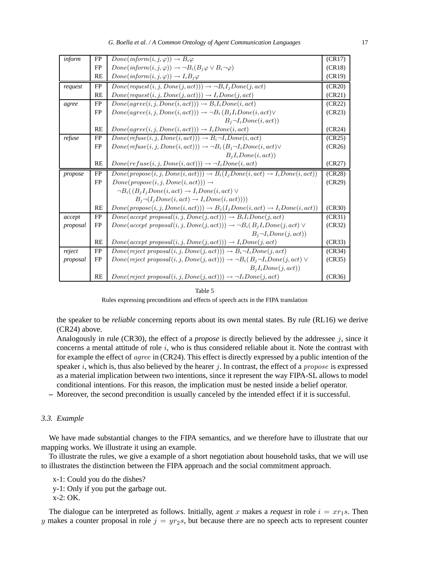| inform   | FP        | $Done(inform(i, j, \varphi)) \rightarrow B_i \varphi$                                            | (CR17) |
|----------|-----------|--------------------------------------------------------------------------------------------------|--------|
|          | <b>FP</b> | $Done(inform(i, j, \varphi)) \rightarrow \neg B_i(B_i \varphi \vee B_i \neg \varphi)$            | (CR18) |
|          | RE        | $Done(inform(i, j, \varphi)) \rightarrow I_iB_j\varphi$                                          | (CR19) |
| request  | FP        | $Done(request(i, j, Done(j, act))) \rightarrow \neg BiI_iDone(i, act)$                           | (CR20) |
|          | RE        | $Done(request(i, j, Done(j, act))) \rightarrow I_i Done(j, act)$                                 | (CR21) |
| agree    | <b>FP</b> | $Done(agree(i, j, Done(i, act))) \rightarrow B_iI_iDone(i, act)$                                 | (CR22) |
|          | FP        | $Done(age(i, j, Done(i, act))) \rightarrow \neg B_i(B_iI_iDone(i, act)) \vee$                    | (CR23) |
|          |           | $B_i \neg I_i Done(i, act)$                                                                      |        |
|          | <b>RE</b> | $Done(age(i, j, Done(i, act))) \rightarrow I_i Done(i, act)$                                     | (CR24) |
| refuse   | FP        | $Done(refuse(i, j, Done(i, act))) \rightarrow B_i \neg I_i Do\overline{ne(i, act)}$              | (CR25) |
|          | <b>FP</b> | $Done(refuse(i, j, Done(i, act))) \rightarrow \neg B_i(B_j \neg I_i Done(i, act)) \vee$          | (CR26) |
|          |           | $B_iI_iDone(i, act)$                                                                             |        |
|          | <b>RE</b> | $Done(refuse(i, j, Done(i, act))) \rightarrow \neg I_i Done(i, act)$                             | (CR27) |
| propose  | FP        | $Done(propose(i, j, Done(i, act))) \rightarrow B_i(I_jDone(i, act) \rightarrow I_iDone(i, act))$ | (CR28) |
|          | FP        | $Done(propose(i, j, Done(i, act))) \rightarrow$                                                  | (CR29) |
|          |           | $\neg B_i((B_iI_iDone(i,act) \rightarrow I_iDone(i,act) \vee$                                    |        |
|          |           |                                                                                                  |        |
|          |           | $B_i \neg (I_i Done(i, act) \rightarrow I_iDone(i, act)))$                                       |        |
|          | <b>RE</b> | $Done(propose(i, j, Done(i, act))) \rightarrow B_j(I_jDone(i, act) \rightarrow I_iDone(i, act))$ | (CR30) |
| accept   | FP        | $Done(accept \; proposal(i, j, Done(j, act))) \rightarrow B_iI_iDone(j, act)$                    | (CR31) |
| proposal | <b>FP</b> | $Done(accept\ proposal(i, j, Done(j, act))) \rightarrow \neg B_i(B_jI_iDone(j, act))$            | (CR32) |
|          |           | $B_i \neg I_i Done(j, act)$                                                                      |        |
|          | RE        | $Done(accept\ proposal(i, j, Done(j, act))) \rightarrow I_iDone(j, act)$                         | (CR33) |
| reject   | <b>FP</b> | $Done(reject\ proposal(i, j, Done(j, act))) \rightarrow B_i \neg I_i Done(j, act)$               | (CR34) |
| proposal | <b>FP</b> | $Done(reject\ proposal(i, j, Done(j, act))) \rightarrow \neg B_i(B_j \neg I_i Done(j, act) \vee$ | (CR35) |
|          |           | $B_iI_iDone(i, act)$                                                                             |        |

Rules expressing preconditions and effects of speech acts in the FIPA translation

the speaker to be *reliable* concerning reports about its own mental states. By rule (RL16) we derive (CR24) above.

Analogously in rule (CR30), the effect of a *propose* is directly believed by the addressee j, since it concerns a mental attitude of role  $i$ , who is thus considered reliable about it. Note the contrast with for example the effect of agree in (CR24). This effect is directly expressed by a public intention of the speaker  $i$ , which is, thus also believed by the hearer  $j$ . In contrast, the effect of a *propose* is expressed as a material implication between two intentions, since it represent the way FIPA-SL allows to model conditional intentions. For this reason, the implication must be nested inside a belief operator.

**–** Moreover, the second precondition is usually canceled by the intended effect if it is successful.

#### *3.3. Example*

We have made substantial changes to the FIPA semantics, and we therefore have to illustrate that our mapping works. We illustrate it using an example.

To illustrate the rules, we give a example of a short negotiation about household tasks, that we will use to illustrates the distinction between the FIPA approach and the social commitment approach.

x-1: Could you do the dishes? y-1: Only if you put the garbage out.

x-2: OK.

The dialogue can be interpreted as follows. Initially, agent x makes a *request* in role  $i = xr_1s$ . Then y makes a counter proposal in role  $j = yr_2s$ , but because there are no speech acts to represent counter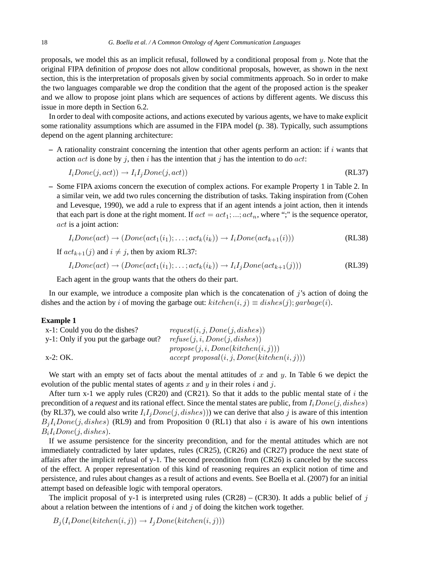proposals, we model this as an implicit refusal, followed by a conditional proposal from  $y$ . Note that the original FIPA definition of *propose* does not allow conditional proposals, however, as shown in the next section, this is the interpretation of proposals given by social commitments approach. So in order to make the two languages comparable we drop the condition that the agent of the proposed action is the speaker and we allow to propose joint plans which are sequences of actions by different agents. We discuss this issue in more depth in Section 6.2.

In order to deal with composite actions, and actions executed by various agents, we have to make explicit some rationality assumptions which are assumed in the FIPA model (p. 38). Typically, such assumptions depend on the agent planning architecture:

 $-$  A rationality constraint concerning the intention that other agents perform an action: if i wants that action  $act$  is done by j, then i has the intention that j has the intention to do  $act$ :

$$
I_i Done(j, act)) \rightarrow I_iI_jDone(j, act))
$$
\n(RL37)

**–** Some FIPA axioms concern the execution of complex actions. For example Property 1 in Table 2. In a similar vein, we add two rules concerning the distribution of tasks. Taking inspiration from (Cohen and Levesque, 1990), we add a rule to express that if an agent intends a joint action, then it intends that each part is done at the right moment. If  $act = act_1; ...; act_n$ , where ";" is the sequence operator, act is a joint action:

$$
I_iDone(act) \rightarrow (Done(act_1(i_1); \dots; act_k(i_k)) \rightarrow I_iDone(act_{k+1}(i)))
$$
 (RL38)

If  $act_{k+1}(j)$  and  $i \neq j$ , then by axiom RL37:

$$
I_i Done(act) \rightarrow (Done(act_1(i_1); \dots; act_k(i_k)) \rightarrow I_iI_jDone(act_{k+1}(j)))
$$
 (RL39)

Each agent in the group wants that the others do their part.

In our example, we introduce a composite plan which is the concatenation of  $j$ 's action of doing the dishes and the action by i of moving the garbage out:  $\text{k}$ itchen $(i, j) \equiv \text{dishes}(j)$ ; garbage $(i)$ .

#### **Example 1**

| x-1: Could you do the dishes?         | request(i, j, Done(j, dishes))                |
|---------------------------------------|-----------------------------------------------|
| y-1: Only if you put the garbage out? | refuse(j, i, Done(j, dishes))                 |
|                                       | propose(j, i, Done(kitchen(i, j)))            |
| x-2: OK.                              | $accept\ proposal(i, j, Done(kitchen(i, j)))$ |

We start with an empty set of facts about the mental attitudes of x and y. In Table 6 we depict the evolution of the public mental states of agents x and y in their roles i and j.

After turn x-1 we apply rules (CR20) and (CR21). So that it adds to the public mental state of i the precondition of a *request* and its rational effect. Since the mental states are public, from  $I_iDone(j,dishes)$ (by RL37), we could also write  $I_iI_jDone(j,dishes))$ ) we can derive that also j is aware of this intention  $B_iI_iDone(j,dishes)$  (RL9) and from Proposition 0 (RL1) that also i is aware of his own intentions  $B_iI_iDone(j,dishes).$ 

If we assume persistence for the sincerity precondition, and for the mental attitudes which are not immediately contradicted by later updates, rules (CR25), (CR26) and (CR27) produce the next state of affairs after the implicit refusal of y-1. The second precondition from  $(CR26)$  is canceled by the success of the effect. A proper representation of this kind of reasoning requires an explicit notion of time and persistence, and rules about changes as a result of actions and events. See Boella et al. (2007) for an initial attempt based on defeasible logic with temporal operators.

The implicit proposal of y-1 is interpreted using rules  $(CR28) - (CR30)$ . It adds a public belief of j about a relation between the intentions of  $i$  and  $j$  of doing the kitchen work together.

 $B_i(I_i Done(kitchen(i,j)) \rightarrow I_iDone(kitchen(i,j)))$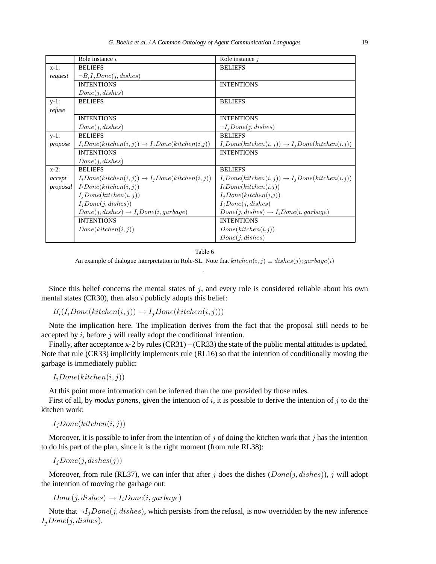|          | Role instance $i$                                            | Role instance $j$                                            |
|----------|--------------------------------------------------------------|--------------------------------------------------------------|
| $x-1$ :  | <b>BELIEFS</b>                                               | <b>BELIEFS</b>                                               |
| request  | $\neg B_i I_j Done(j, dishes)$                               |                                                              |
|          | <b>INTENTIONS</b>                                            | <b>INTENTIONS</b>                                            |
|          | Done(j, dishes)                                              |                                                              |
| $y-1$ :  | <b>BELIEFS</b>                                               | <b>BELIEFS</b>                                               |
| refuse   |                                                              |                                                              |
|          | <b>INTENTIONS</b>                                            | <b>INTENTIONS</b>                                            |
|          | Done(i, dishes)                                              | $\neg I_i Done(i, dishes)$                                   |
| $y-1$ :  | <b>BELIEFS</b>                                               | <b>BELIEFS</b>                                               |
| propose  | $I_i Done(kitchen(i, j)) \rightarrow I_jDone(kitchen(i, j))$ | $I_iDone(kitchen(i, j)) \rightarrow I_jDone(kitchen(i, j))$  |
|          | <b>INTENTIONS</b>                                            | <b>INTENTIONS</b>                                            |
|          | Done(j, dishes)                                              |                                                              |
| $x-2$ :  | <b>BELIEFS</b>                                               | <b>BELIEFS</b>                                               |
| accept   | $I_i Done(kitchen(i, j)) \rightarrow I_jDone(kitchen(i, j))$ | $I_i Done(kitchen(i, j)) \rightarrow I_jDone(kitchen(i, j))$ |
| proposal | $I_i Done(kitchen(i, j))$                                    | $I_i Done(kitchen(i,j))$                                     |
|          | $I_j Done(kitchen(i, j))$                                    | $I_i Done(kitchen(i,j))$                                     |
|          | $I_iDone(j, dishes))$                                        | $I_iDone(j, dishes)$                                         |
|          | $Done(j, dishes) \rightarrow I_iDone(i,garbage)$             | $Done(j, dishes) \rightarrow I_iDone(i,garbage)$             |
|          | <b>INTENTIONS</b>                                            | <b>INTENTIONS</b>                                            |
|          | Done(kitchen(i, j))                                          | Done(kitchen(i,j))                                           |
|          |                                                              | Done(j, dishes)                                              |

An example of dialogue interpretation in Role-SL. Note that  $kitchen(i, j) \equiv dishes(j); garbage(i)$ .

Since this belief concerns the mental states of  $j$ , and every role is considered reliable about his own mental states (CR30), then also  $i$  publicly adopts this belief:

 $B_i(I_i Done(kitchen(i,j)) \rightarrow I_jDone(kitchen(i,j)))$ 

Note the implication here. The implication derives from the fact that the proposal still needs to be accepted by  $i$ , before  $j$  will really adopt the conditional intention.

Finally, after acceptance x-2 by rules (CR31) – (CR33) the state of the public mental attitudes is updated. Note that rule (CR33) implicitly implements rule (RL16) so that the intention of conditionally moving the garbage is immediately public:

 $I_iDone(kitchen(i,j))$ 

At this point more information can be inferred than the one provided by those rules.

First of all, by *modus ponens*, given the intention of i, it is possible to derive the intention of j to do the kitchen work:

 $I_jDone(kitchen(i,j))$ 

Moreover, it is possible to infer from the intention of j of doing the kitchen work that j has the intention to do his part of the plan, since it is the right moment (from rule RL38):

 $I_jDone(j,dishes(j))$ 

Moreover, from rule (RL37), we can infer that after j does the dishes  $(Done(j,dishes))$ , j will adopt the intention of moving the garbage out:

 $Done(j, dishes) \rightarrow I_iDone(i,garbage)$ 

Note that  $\neg I_iDone(j,dishes)$ , which persists from the refusal, is now overridden by the new inference  $I_jDone(j,dishes).$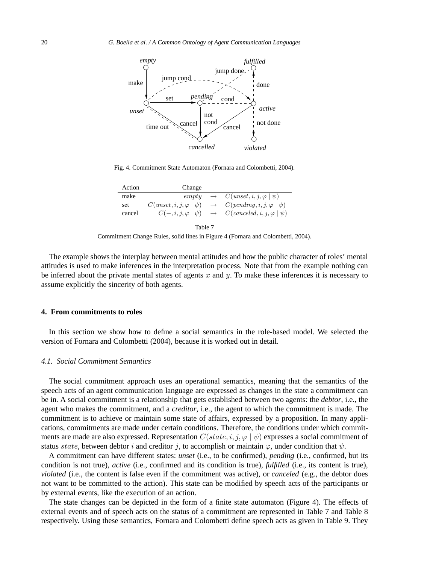

Fig. 4. Commitment State Automaton (Fornara and Colombetti, 2004).

| Action | Change                               |                                                                            |
|--------|--------------------------------------|----------------------------------------------------------------------------|
| make   | empty                                | $\rightarrow$ $C($ <i>unset</i> , <i>i</i> , <i>j</i> , $\varphi   \psi$ ) |
| set    | $C$ (unset, i, j, $\varphi   \psi$ ) | $\rightarrow$ $C(pending, i, j, \varphi   \psi)$                           |
| cancel | $C(-,i,j,\varphi   \psi)$            | $\rightarrow$ $C(canceled, i, j, \varphi   \psi)$                          |
|        |                                      |                                                                            |

| I<br>I |  |  |
|--------|--|--|
|--------|--|--|

Commitment Change Rules, solid lines in Figure 4 (Fornara and Colombetti, 2004).

The example shows the interplay between mental attitudes and how the public character of roles' mental attitudes is used to make inferences in the interpretation process. Note that from the example nothing can be inferred about the private mental states of agents  $x$  and  $y$ . To make these inferences it is necessary to assume explicitly the sincerity of both agents.

#### **4. From commitments to roles**

In this section we show how to define a social semantics in the role-based model. We selected the version of Fornara and Colombetti (2004), because it is worked out in detail.

#### *4.1. Social Commitment Semantics*

The social commitment approach uses an operational semantics, meaning that the semantics of the speech acts of an agent communication language are expressed as changes in the state a commitment can be in. A social commitment is a relationship that gets established between two agents: the *debtor*, i.e., the agent who makes the commitment, and a *creditor*, i.e., the agent to which the commitment is made. The commitment is to achieve or maintain some state of affairs, expressed by a proposition. In many applications, commitments are made under certain conditions. Therefore, the conditions under which commitments are made are also expressed. Representation  $C(state, i, j, φ | ψ)$  expresses a social commitment of status state, between debtor i and creditor j, to accomplish or maintain  $\varphi$ , under condition that  $\psi$ .

A commitment can have different states: *unset* (i.e., to be confirmed), *pending* (i.e., confirmed, but its condition is not true), *active* (i.e., confirmed and its condition is true), *fulfilled* (i.e., its content is true), *violated* (i.e., the content is false even if the commitment was active), or *canceled* (e.g., the debtor does not want to be committed to the action). This state can be modified by speech acts of the participants or by external events, like the execution of an action.

The state changes can be depicted in the form of a finite state automaton (Figure 4). The effects of external events and of speech acts on the status of a commitment are represented in Table 7 and Table 8 respectively. Using these semantics, Fornara and Colombetti define speech acts as given in Table 9. They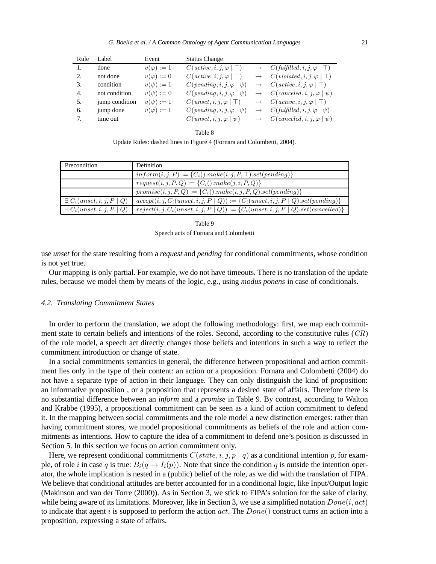| Rule | Label          | Event             | <b>Status Change</b>                          |                   |                                               |
|------|----------------|-------------------|-----------------------------------------------|-------------------|-----------------------------------------------|
|      | done           | $v(\varphi) := 1$ | $C(\textit{active}, i, j, \varphi \mid \top)$ | $\longrightarrow$ | $C(fulfilled, i, j, \varphi   \top)$          |
| 2.   | not done       | $v(\varphi) := 0$ | $C(\textit{active}, i, j, \varphi \mid \top)$ |                   | $C(\text{violated}, i, j, \varphi \mid \top)$ |
| 3.   | condition      | $v(\psi) := 1$    | $C(pending, i, j, \varphi   \psi)$            |                   | $C(\textit{active}, i, j, \varphi \mid \top)$ |
| 4.   | not condition  | $v(\psi) := 0$    | $C(pending, i, j, \varphi   \psi)$            |                   | $C(\text{ canceled}, i, j, \varphi   \psi)$   |
| 5.   | jump condition | $v(\psi) := 1$    | $C(unset, i, j, \varphi   \top)$              |                   | $C(\textit{active}, i, j, \varphi \mid \top)$ |
| 6.   | jump done      | $v(\varphi) := 1$ | $C(pending, i, j, \varphi   \psi)$            |                   | $C(fulfilled, i, j, \varphi   \psi)$          |
| 7.   | time out       |                   | $C(unset, i, j, \varphi   \psi)$              |                   | $C(\text{ canceled}, i, j, \varphi   \psi)$   |

Update Rules: dashed lines in Figure 4 (Fornara and Colombetti, 2004).

| Precondition                       | <b>Definition</b>                                                                     |
|------------------------------------|---------------------------------------------------------------------------------------|
|                                    | $inform(i, j, P) := {C_i().make(i, j, P, T).set(pending)}$                            |
|                                    | $request(i, j, P, Q) := {C_i().make(j, i, P, Q)}$                                     |
|                                    | $promise(i, j, P, Q) := {C_i().make(i, j, P, Q).set(pending)}$                        |
| $\exists C_i$ (unset, i, j, P   Q) | $accept(i, j, C_i(unset, i, j, P   Q)) := \{C_i(unset, i, j, P   Q).set(pending)\}\$  |
| $\exists C_i$ (unset, i, j, P   Q) | $reject(i, j, C_i(unset, i, j, P   Q)) := \{C_i(unset, i, j, P   Q).set(canceled)\}\$ |

Table 9 Speech acts of Fornara and Colombetti

use *unset* for the state resulting from a *request* and *pending* for conditional commitments, whose condition is not yet true.

Our mapping is only partial. For example, we do not have timeouts. There is no translation of the update rules, because we model them by means of the logic, e.g., using *modus ponens* in case of conditionals.

#### *4.2. Translating Commitment States*

In order to perform the translation, we adopt the following methodology: first, we map each commitment state to certain beliefs and intentions of the roles. Second, according to the constitutive rules  $(CR)$ of the role model, a speech act directly changes those beliefs and intentions in such a way to reflect the commitment introduction or change of state.

In a social commitments semantics in general, the difference between propositional and action commitment lies only in the type of their content: an action or a proposition. Fornara and Colombetti (2004) do not have a separate type of action in their language. They can only distinguish the kind of proposition: an informative proposition , or a proposition that represents a desired state of affairs. Therefore there is no substantial difference between an *inform* and a *promise* in Table 9. By contrast, according to Walton and Krabbe (1995), a propositional commitment can be seen as a kind of action commitment to defend it. In the mapping between social commitments and the role model a new distinction emerges: rather than having commitment stores, we model propositional commitments as beliefs of the role and action commitments as intentions. How to capture the idea of a commitment to defend one's position is discussed in Section 5. In this section we focus on action commitment only.

Here, we represent conditional commitments  $C(state, i, j, p | q)$  as a conditional intention p, for example, of role i in case q is true:  $B_i(q \rightarrow I_i(p))$ . Note that since the condition q is outside the intention operator, the whole implication is nested in a (public) belief of the role, as we did with the translation of FIPA. We believe that conditional attitudes are better accounted for in a conditional logic, like Input/Output logic (Makinson and van der Torre (2000)). As in Section 3, we stick to FIPA's solution for the sake of clarity, while being aware of its limitations. Moreover, like in Section 3, we use a simplified notation  $Done(i,act)$ to indicate that agent i is supposed to perform the action  $act$ . The  $Done()$  construct turns an action into a proposition, expressing a state of affairs.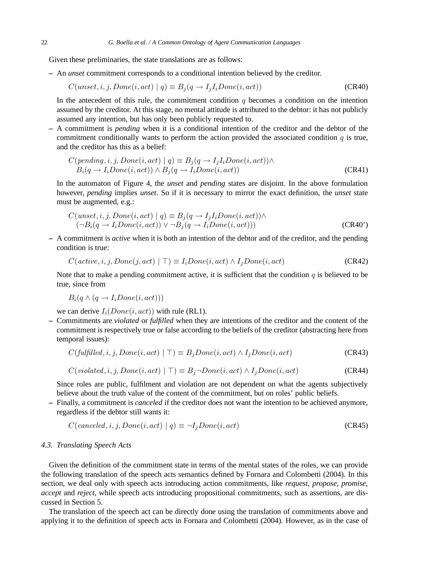Given these preliminaries, the state translations are as follows:

**–** An *unset* commitment corresponds to a conditional intention believed by the creditor.

$$
C(unset, i, j, Done(i, act) \mid q) \equiv B_j(q \rightarrow I_j I_i Done(i, act))
$$
\n
$$
(CR40)
$$

In the antecedent of this rule, the commitment condition  $q$  becomes a condition on the intention assumed by the creditor. At this stage, no mental attitude is attributed to the debtor: it has not publicly assumed any intention, but has only been publicly requested to.

**–** A commitment is *pending* when it is a conditional intention of the creditor and the debtor of the commitment conditionally wants to perform the action provided the associated condition  $q$  is true, and the creditor has this as a belief:

$$
C(pending, i, j, Done(i, act) | q) \equiv B_j(q \rightarrow I_j I_i Done(i, act)) \land B_i(q \rightarrow I_iDone(i, act)) \land B_j(q \rightarrow I_iDone(i, act))
$$
 (CR41)

In the automaton of Figure 4, the *unset* and *pending* states are disjoint. In the above formulation however, *pending* implies *unset*. So if it is necessary to mirror the exact definition, the *unset* state must be augmented, e.g.:

$$
C(unset, i, j, Done(i, act) | q) \equiv B_j(q \rightarrow I_j I_i Done(i, act)) \land (\neg B_i(q \rightarrow I_i Done(i, act)) \lor \neg B_j(q \rightarrow I_iDone(i, act)))
$$
(CR40')

**–** A commitment is *active* when it is both an intention of the debtor and of the creditor, and the pending condition is true:

$$
C(\text{active}, i, j, \text{Done}(j, \text{act}) \mid \top) \equiv I_i \text{Done}(i, \text{act}) \land I_j \text{Done}(i, \text{act}) \tag{CR42}
$$

Note that to make a pending commitment active, it is sufficient that the condition  $q$  is believed to be true, since from

 $B_i(q \wedge (q \rightarrow I_i Done(i,act)))$ 

we can derive  $I_i(Done(i,act))$  with rule (RL1).

**–** Commitments are *violated* or *fulfilled* when they are intentions of the creditor and the content of the commitment is respectively true or false according to the beliefs of the creditor (abstracting here from temporal issues):

$$
C(fulfilled, i, j, Done(i, act) | T) \equiv B_j Done(i, act) \land I_jDone(i, act)
$$
\n
$$
(CR43)
$$

$$
C(violated, i, j, Done(i, act) \mid \top) \equiv B_j \neg Done(i, act) \land I_j Done(i, act)
$$
\n
$$
(CR44)
$$

Since roles are public, fulfilment and violation are not dependent on what the agents subjectively believe about the truth value of the content of the commitment, but on roles' public beliefs.

**–** Finally, a commitment is *canceled* if the creditor does not want the intention to be achieved anymore, regardless if the debtor still wants it:

$$
C(canceled, i, j, Done(i, act) \mid q) \equiv \neg I_j Done(i, act)
$$
\n
$$
(CR45)
$$

#### *4.3. Translating Speech Acts*

Given the definition of the commitment state in terms of the mental states of the roles, we can provide the following translation of the speech acts semantics defined by Fornara and Colombetti (2004). In this section, we deal only with speech acts introducing action commitments, like *request*, *propose*, *promise*, *accept* and *reject*, while speech acts introducing propositional commitments, such as assertions, are discussed in Section 5.

The translation of the speech act can be directly done using the translation of commitments above and applying it to the definition of speech acts in Fornara and Colombetti (2004). However, as in the case of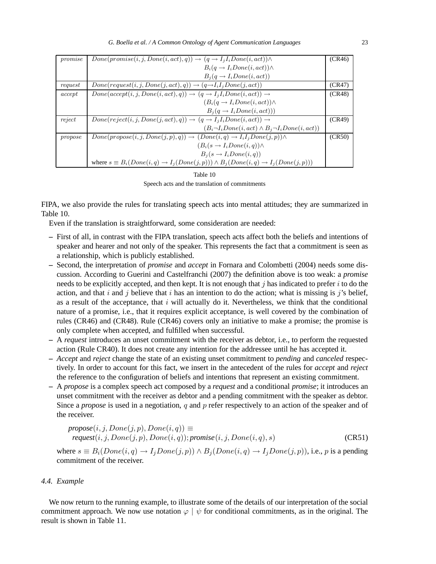| promise | $Done(promise(i, j, Done(i, act), q)) \rightarrow (q \rightarrow I_jI_iDone(i, act)) \wedge$                    | (CR46) |
|---------|-----------------------------------------------------------------------------------------------------------------|--------|
|         | $B_i(q \rightarrow I_iDone(i, act)) \wedge$                                                                     |        |
|         | $B_i(q \rightarrow I_iDone(i, act))$                                                                            |        |
| request | $Done(request(i, j, Done(j, act), q)) \rightarrow (q \rightarrow I_i I_j Done(j, act))$                         | (CR47) |
| accept  | $Done(accept(i, j, Done(i, act), q)) \rightarrow (q \rightarrow I_jI_iDone(i, act)) \rightarrow$                | (CR48) |
|         | $(B_i(q \rightarrow I_iDone(i, act)) \wedge$                                                                    |        |
|         | $B_i(q \rightarrow I_i Done(i, act)))$                                                                          |        |
| reject  | $Done(reject(i, j, Done(j, act), q)) \rightarrow (q \rightarrow I_jI_iDone(i, act)) \rightarrow$                | (CR49) |
|         | $(B_i \neg I_i Done(i, act) \wedge B_j \neg I_iDone(i, act))$                                                   |        |
| propose | $Done(propose(i, j, Done(j, p), q)) \rightarrow (Done(i, q) \rightarrow I_iI_jDone(j, p)) \wedge$               | (CR50) |
|         | $(B_i(s \rightarrow I_iDone(i, q)) \wedge$                                                                      |        |
|         | $B_i(s \rightarrow I_i Done(i,q))$                                                                              |        |
|         | where $s \equiv B_i(Done(i, q) \rightarrow I_j(Done(j, p))) \wedge B_j(Done(i, q) \rightarrow I_j(Done(j, p)))$ |        |

| Table 10                                       |
|------------------------------------------------|
| Speech acts and the translation of commitments |

FIPA, we also provide the rules for translating speech acts into mental attitudes; they are summarized in Table 10.

Even if the translation is straightforward, some consideration are needed:

- **–** First of all, in contrast with the FIPA translation, speech acts affect both the beliefs and intentions of speaker and hearer and not only of the speaker. This represents the fact that a commitment is seen as a relationship, which is publicly established.
- **–** Second, the interpretation of *promise* and *accept* in Fornara and Colombetti (2004) needs some discussion. According to Guerini and Castelfranchi (2007) the definition above is too weak: a *promise* needs to be explicitly accepted, and then kept. It is not enough that  $j$  has indicated to prefer  $i$  to do the action, and that i and j believe that i has an intention to do the action; what is missing is j's belief, as a result of the acceptance, that  $i$  will actually do it. Nevertheless, we think that the conditional nature of a promise, i.e., that it requires explicit acceptance, is well covered by the combination of rules (CR46) and (CR48). Rule (CR46) covers only an initiative to make a promise; the promise is only complete when accepted, and fulfilled when successful.
- **–** A *request* introduces an unset commitment with the receiver as debtor, i.e., to perform the requested action (Rule CR40). It does not create any intention for the addressee until he has accepted it.
- **–** *Accept* and *reject* change the state of an existing unset commitment to *pending* and *canceled* respectively. In order to account for this fact, we insert in the antecedent of the rules for *accept* and *reject* the reference to the configuration of beliefs and intentions that represent an existing commitment.
- **–** A *propose* is a complex speech act composed by a *request* and a conditional *promise*; it introduces an unset commitment with the receiver as debtor and a pending commitment with the speaker as debtor. Since a *propose* is used in a negotiation, q and p refer respectively to an action of the speaker and of the receiver.

$$
propose(i, j, Done(j, p), Done(i, q)) \equiv
$$
  
request(i, j, Done(j, p), Done(i, q)); promise(i, j, Done(i, q), s) (CR51)

where  $s \equiv B_i(Done(i, q) \rightarrow I_jDone(j, p)) \wedge B_j(Done(i, q) \rightarrow I_jDone(j, p))$ , i.e., p is a pending commitment of the receiver.

## *4.4. Example*

We now return to the running example, to illustrate some of the details of our interpretation of the social commitment approach. We now use notation  $\varphi | \psi$  for conditional commitments, as in the original. The result is shown in Table 11.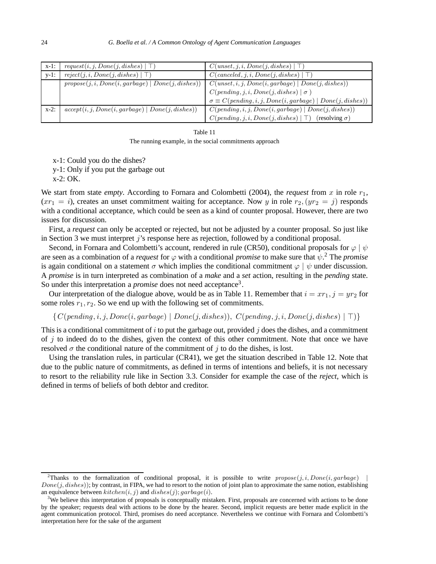| $x-1$ : | request(i, j, Done(j, dishes)   T)                  | C(unset, j, i, Done(j, dishes)   T)                                  |
|---------|-----------------------------------------------------|----------------------------------------------------------------------|
| $v-1$ : | reject(j, i, Done(j, dishes)   T)                   | $C(canceled, j, i, Done(j, dishes)   T)$                             |
|         | $propose(j, i, Done(i, garbage)   Done(j, dishes))$ | $C(unset, i, j, Done(i, garbage)   Done(j, dishes))$                 |
|         |                                                     | $C(pending, j, i, Done(j, dishes)   \sigma)$                         |
|         |                                                     | $\sigma \equiv C(pending, i, j, Done(i, garbage)   Done(j, dishes))$ |
| $x-2$ : | $accept(i, j, Done(i, garbage)   Done(j, dishes))$  | $C(pending, i, j, Done(i, garbage)   Done(j, dishes))$               |
|         |                                                     | C(pending, j, i, Done(j, dishes)   T)<br>$(resolving \sigma)$        |

The running example, in the social commitments approach

x-1: Could you do the dishes?

y-1: Only if you put the garbage out

x-2: OK.

We start from state *empty*. According to Fornara and Colombetti (2004), the *request* from x in role  $r_1$ ,  $(xr_1 = i)$ , creates an unset commitment waiting for acceptance. Now y in role  $r_2$ ,  $(yr_2 = j)$  responds with a conditional acceptance, which could be seen as a kind of counter proposal. However, there are two issues for discussion.

First, a *request* can only be accepted or rejected, but not be adjusted by a counter proposal. So just like in Section 3 we must interpret j's response here as rejection, followed by a conditional proposal.

Second, in Fornara and Colombetti's account, rendered in rule (CR50), conditional proposals for  $\varphi | \psi$ are seen as a combination of a *request* for  $\varphi$  with a conditional *promise* to make sure that  $\psi$ .<sup>2</sup> The *promise* is again conditional on a statement  $\sigma$  which implies the conditional commitment  $\varphi | \psi$  under discussion. A *promise* is in turn interpreted as combination of a *make* and a *set* action, resulting in the *pending* state. So under this interpretation a *promise* does not need acceptance<sup>3</sup>.

Our interpretation of the dialogue above, would be as in Table 11. Remember that  $i = xr_1, j = yr_2$  for some roles  $r_1, r_2$ . So we end up with the following set of commitments.

 ${C(pending, i, j, Done(i, garbage) | Done(j, dishes))}, C(pending, j, i, Done(j, dishes) | T)}$ 

This is a conditional commitment of i to put the garbage out, provided j does the dishes, and a commitment of  $j$  to indeed do to the dishes, given the context of this other commitment. Note that once we have resolved  $\sigma$  the conditional nature of the commitment of j to do the dishes, is lost.

Using the translation rules, in particular (CR41), we get the situation described in Table 12. Note that due to the public nature of commitments, as defined in terms of intentions and beliefs, it is not necessary to resort to the reliability rule like in Section 3.3. Consider for example the case of the *reject*, which is defined in terms of beliefs of both debtor and creditor.

<sup>&</sup>lt;sup>2</sup>Thanks to the formalization of conditional proposal, it is possible to write  $propose(j, i, Done(i, garbage))$  $Done(j, dishes)$ ; by contrast, in FIPA, we had to resort to the notion of joint plan to approximate the same notion, establishing an equivalence between  $\text{k}$ itchen $(i, j)$  and  $\text{dishes}(j)$ ;  $\text{garbage}(i)$ .

 $3$ We believe this interpretation of proposals is conceptually mistaken. First, proposals are concerned with actions to be done by the speaker; requests deal with actions to be done by the hearer. Second, implicit requests are better made explicit in the agent communication protocol. Third, promises do need acceptance. Nevertheless we continue with Fornara and Colombetti's interpretation here for the sake of the argument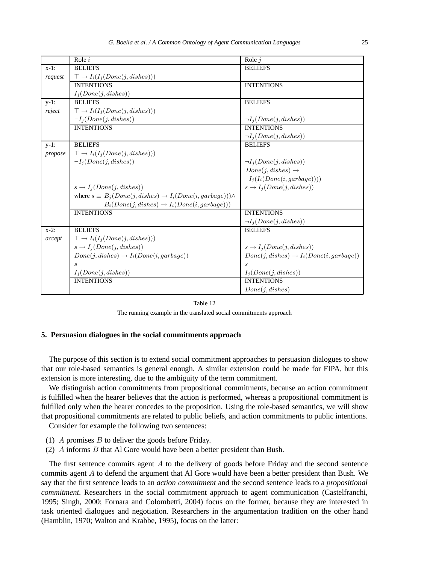|         | Role $i$                                                                      | Role $j$                                           |
|---------|-------------------------------------------------------------------------------|----------------------------------------------------|
| $x-1$ : | <b>BELIEFS</b>                                                                | <b>BELIEFS</b>                                     |
| request | $\top \rightarrow I_i(I_j(Done(j,dishes)))$                                   |                                                    |
|         | <b>INTENTIONS</b>                                                             | <b>INTENTIONS</b>                                  |
|         | $I_j(Done(j, dishes))$                                                        |                                                    |
| $y-1$ : | <b>BELIEFS</b>                                                                | <b>BELIEFS</b>                                     |
| reject  | $\top \rightarrow I_i(I_j(Done(j,dishes)))$                                   |                                                    |
|         | $\neg I_j(Done(j, dishes))$                                                   | $\neg I_i(Done(j, dishes))$                        |
|         | <b>INTENTIONS</b>                                                             | <b>INTENTIONS</b>                                  |
|         |                                                                               | $\neg I_j(Done(j, dishes))$                        |
| $y-1$ : | <b>BELIEFS</b>                                                                | <b>BELIEFS</b>                                     |
| propose | $\top \rightarrow I_i(I_j(Done(j, dishes)))$                                  |                                                    |
|         | $\neg I_i(Done(j, dishes))$                                                   | $\neg I_j(Done(j, dishes))$                        |
|         |                                                                               | $Done(j, dishes) \rightarrow$                      |
|         |                                                                               | $I_i(I_i(Done(i,garbage))))$                       |
|         | $s \rightarrow I_i(Done(j, dishes))$                                          | $s \rightarrow I_i(Done(j, dishes))$               |
|         | where $s \equiv B_i(Done(j, dishes) \rightarrow I_i(Done(i,garbage))) \wedge$ |                                                    |
|         | $B_i(Done(j, dishes) \rightarrow I_i(Done(i,garbage)))$                       |                                                    |
|         | <b>INTENTIONS</b>                                                             | <b>INTENTIONS</b>                                  |
|         |                                                                               | $\neg I_j(Done(j, dishes))$                        |
| $x-2$ : | <b>BELIEFS</b>                                                                | <b>BELIEFS</b>                                     |
| accept  | $\top \rightarrow I_i(I_j(Done(j,dishes)))$                                   |                                                    |
|         | $s \rightarrow I_j(Done(j, dishes))$                                          | $s \rightarrow I_j(Done(j, dishes))$               |
|         | $Done(j, dishes) \rightarrow I_i(Done(i,garbage))$                            | $Done(j, dishes) \rightarrow I_i(Done(i,garbage))$ |
|         | S                                                                             | $\mathcal{S}_{\mathcal{S}}$                        |
|         | $I_j(Done(j, dishes))$                                                        | $I_j(Done(j,dishes))$                              |
|         | <b>INTENTIONS</b>                                                             | <b>INTENTIONS</b>                                  |
|         |                                                                               | Done(j, dishes)                                    |

The running example in the translated social commitments approach

#### **5. Persuasion dialogues in the social commitments approach**

The purpose of this section is to extend social commitment approaches to persuasion dialogues to show that our role-based semantics is general enough. A similar extension could be made for FIPA, but this extension is more interesting, due to the ambiguity of the term commitment.

We distinguish action commitments from propositional commitments, because an action commitment is fulfilled when the hearer believes that the action is performed, whereas a propositional commitment is fulfilled only when the hearer concedes to the proposition. Using the role-based semantics, we will show that propositional commitments are related to public beliefs, and action commitments to public intentions. Consider for example the following two sentences:

- (1)  $\Lambda$  promises  $\overline{B}$  to deliver the goods before Friday.
- (2) A informs B that Al Gore would have been a better president than Bush.

The first sentence commits agent A to the delivery of goods before Friday and the second sentence commits agent A to defend the argument that Al Gore would have been a better president than Bush. We say that the first sentence leads to an *action commitment* and the second sentence leads to a *propositional commitment*. Researchers in the social commitment approach to agent communication (Castelfranchi, 1995; Singh, 2000; Fornara and Colombetti, 2004) focus on the former, because they are interested in task oriented dialogues and negotiation. Researchers in the argumentation tradition on the other hand (Hamblin, 1970; Walton and Krabbe, 1995), focus on the latter: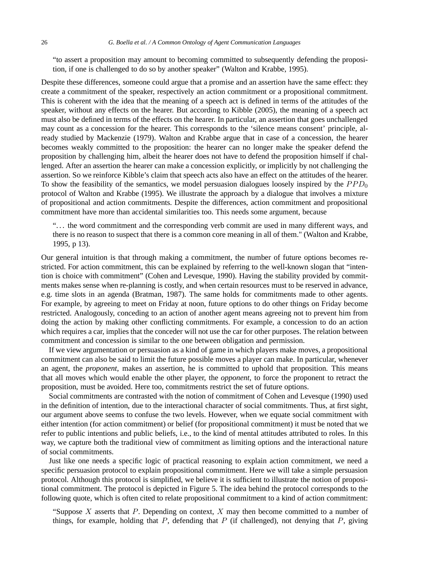"to assert a proposition may amount to becoming committed to subsequently defending the proposition, if one is challenged to do so by another speaker" (Walton and Krabbe, 1995).

Despite these differences, someone could argue that a promise and an assertion have the same effect: they create a commitment of the speaker, respectively an action commitment or a propositional commitment. This is coherent with the idea that the meaning of a speech act is defined in terms of the attitudes of the speaker, without any effects on the hearer. But according to Kibble (2005), the meaning of a speech act must also be defined in terms of the effects on the hearer. In particular, an assertion that goes unchallenged may count as a concession for the hearer. This corresponds to the 'silence means consent' principle, already studied by Mackenzie (1979). Walton and Krabbe argue that in case of a concession, the hearer becomes weakly committed to the proposition: the hearer can no longer make the speaker defend the proposition by challenging him, albeit the hearer does not have to defend the proposition himself if challenged. After an assertion the hearer can make a concession explicitly, or implicitly by not challenging the assertion. So we reinforce Kibble's claim that speech acts also have an effect on the attitudes of the hearer. To show the feasibility of the semantics, we model persuasion dialogues loosely inspired by the  $PPD<sub>0</sub>$ protocol of Walton and Krabbe (1995). We illustrate the approach by a dialogue that involves a mixture of propositional and action commitments. Despite the differences, action commitment and propositional commitment have more than accidental similarities too. This needs some argument, because

". . . the word commitment and the corresponding verb commit are used in many different ways, and there is no reason to suspect that there is a common core meaning in all of them." (Walton and Krabbe, 1995, p 13).

Our general intuition is that through making a commitment, the number of future options becomes restricted. For action commitment, this can be explained by referring to the well-known slogan that "intention is choice with commitment" (Cohen and Levesque, 1990). Having the stability provided by commitments makes sense when re-planning is costly, and when certain resources must to be reserved in advance, e.g. time slots in an agenda (Bratman, 1987). The same holds for commitments made to other agents. For example, by agreeing to meet on Friday at noon, future options to do other things on Friday become restricted. Analogously, conceding to an action of another agent means agreeing not to prevent him from doing the action by making other conflicting commitments. For example, a concession to do an action which requires a car, implies that the conceder will not use the car for other purposes. The relation between commitment and concession is similar to the one between obligation and permission.

If we view argumentation or persuasion as a kind of game in which players make moves, a propositional commitment can also be said to limit the future possible moves a player can make. In particular, whenever an agent, the *proponent*, makes an assertion, he is committed to uphold that proposition. This means that all moves which would enable the other player, the *opponent*, to force the proponent to retract the proposition, must be avoided. Here too, commitments restrict the set of future options.

Social commitments are contrasted with the notion of commitment of Cohen and Levesque (1990) used in the definition of intention, due to the interactional character of social commitments. Thus, at first sight, our argument above seems to confuse the two levels. However, when we equate social commitment with either intention (for action commitment) or belief (for propositional commitment) it must be noted that we refer to public intentions and public beliefs, i.e., to the kind of mental attitudes attributed to roles. In this way, we capture both the traditional view of commitment as limiting options and the interactional nature of social commitments.

Just like one needs a specific logic of practical reasoning to explain action commitment, we need a specific persuasion protocol to explain propositional commitment. Here we will take a simple persuasion protocol. Although this protocol is simplified, we believe it is sufficient to illustrate the notion of propositional commitment. The protocol is depicted in Figure 5. The idea behind the protocol corresponds to the following quote, which is often cited to relate propositional commitment to a kind of action commitment:

"Suppose  $X$  asserts that  $P$ . Depending on context,  $X$  may then become committed to a number of things, for example, holding that  $P$ , defending that  $P$  (if challenged), not denying that  $P$ , giving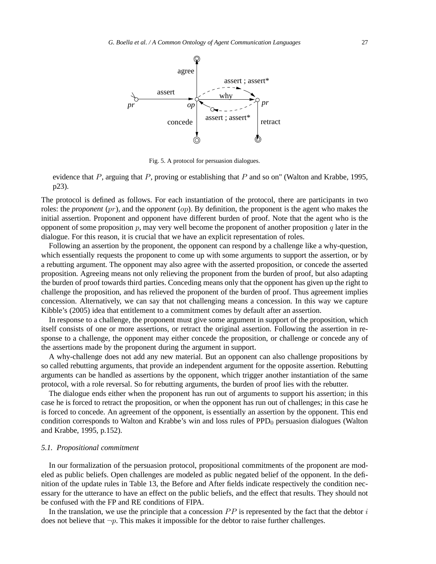

Fig. 5. A protocol for persuasion dialogues.

evidence that P, arguing that P, proving or establishing that P and so on" (Walton and Krabbe, 1995, p23).

The protocol is defined as follows. For each instantiation of the protocol, there are participants in two roles: the *proponent* (pr), and the *opponent* (op). By definition, the proponent is the agent who makes the initial assertion. Proponent and opponent have different burden of proof. Note that the agent who is the opponent of some proposition p, may very well become the proponent of another proposition q later in the dialogue. For this reason, it is crucial that we have an explicit representation of roles.

Following an assertion by the proponent, the opponent can respond by a challenge like a why-question, which essentially requests the proponent to come up with some arguments to support the assertion, or by a rebutting argument. The opponent may also agree with the asserted proposition, or concede the asserted proposition. Agreeing means not only relieving the proponent from the burden of proof, but also adapting the burden of proof towards third parties. Conceding means only that the opponent has given up the right to challenge the proposition, and has relieved the proponent of the burden of proof. Thus agreement implies concession. Alternatively, we can say that not challenging means a concession. In this way we capture Kibble's (2005) idea that entitlement to a commitment comes by default after an assertion.

In response to a challenge, the proponent must give some argument in support of the proposition, which itself consists of one or more assertions, or retract the original assertion. Following the assertion in response to a challenge, the opponent may either concede the proposition, or challenge or concede any of the assertions made by the proponent during the argument in support.

A why-challenge does not add any new material. But an opponent can also challenge propositions by so called rebutting arguments, that provide an independent argument for the opposite assertion. Rebutting arguments can be handled as assertions by the opponent, which trigger another instantiation of the same protocol, with a role reversal. So for rebutting arguments, the burden of proof lies with the rebutter.

The dialogue ends either when the proponent has run out of arguments to support his assertion; in this case he is forced to retract the proposition, or when the opponent has run out of challenges; in this case he is forced to concede. An agreement of the opponent, is essentially an assertion by the opponent. This end condition corresponds to Walton and Krabbe's win and loss rules of PPD<sub>0</sub> persuasion dialogues (Walton and Krabbe, 1995, p.152).

#### *5.1. Propositional commitment*

In our formalization of the persuasion protocol, propositional commitments of the proponent are modeled as public beliefs. Open challenges are modeled as public negated belief of the opponent. In the definition of the update rules in Table 13, the Before and After fields indicate respectively the condition necessary for the utterance to have an effect on the public beliefs, and the effect that results. They should not be confused with the FP and RE conditions of FIPA.

In the translation, we use the principle that a concession  $PP$  is represented by the fact that the debtor  $i$ does not believe that  $\neg p$ . This makes it impossible for the debtor to raise further challenges.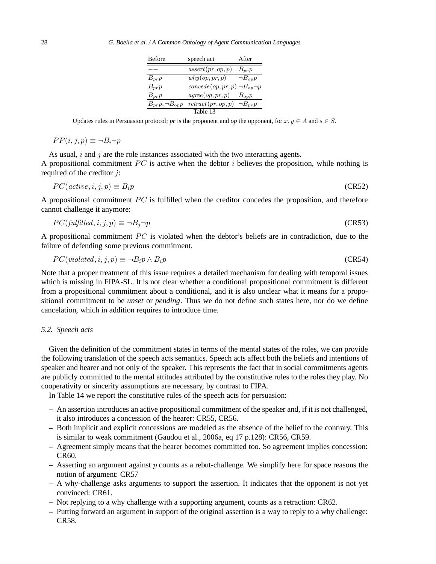| <b>Before</b>           | speech act                              | After          |
|-------------------------|-----------------------------------------|----------------|
|                         | assert(pr, op, p)                       | $B_{pr}p$      |
| $B_{pr}p$               | why(op, pr, p)                          | $\neg B_{op}p$ |
| $B_{pr}p$               | $concede(op, pr, p) \neg B_{op} \neg p$ |                |
| $B_{pr}p$               | agree(op, pr, p)                        | $B_{op}p$      |
| $B_{pr}p, \neg B_{op}p$ | retract(pr, op, p)                      | $\neg B_{pr}p$ |
|                         | Table 13                                |                |

Updates rules in Persuasion protocol; *pr* is the proponent and *op* the opponent, for  $x, y \in A$  and  $s \in S$ .

$$
PP(i,j,p) \equiv \neg B_i \neg p
$$

As usual,  $i$  and  $j$  are the role instances associated with the two interacting agents. A propositional commitment  $PC$  is active when the debtor i believes the proposition, while nothing is required of the creditor  $j$ :

$$
PC(active, i, j, p) \equiv B_i p \tag{CR52}
$$

A propositional commitment PC is fulfilled when the creditor concedes the proposition, and therefore cannot challenge it anymore:

$$
PC(fulfilled, i, j, p) \equiv \neg B_j \neg p \tag{CR53}
$$

A propositional commitment  $PC$  is violated when the debtor's beliefs are in contradiction, due to the failure of defending some previous commitment.

$$
PC(violated, i, j, p) \equiv \neg B_i p \land B_i p \tag{CR54}
$$

Note that a proper treatment of this issue requires a detailed mechanism for dealing with temporal issues which is missing in FIPA-SL. It is not clear whether a conditional propositional commitment is different from a propositional commitment about a conditional, and it is also unclear what it means for a propositional commitment to be *unset* or *pending*. Thus we do not define such states here, nor do we define cancelation, which in addition requires to introduce time.

#### *5.2. Speech acts*

Given the definition of the commitment states in terms of the mental states of the roles, we can provide the following translation of the speech acts semantics. Speech acts affect both the beliefs and intentions of speaker and hearer and not only of the speaker. This represents the fact that in social commitments agents are publicly committed to the mental attitudes attributed by the constitutive rules to the roles they play. No cooperativity or sincerity assumptions are necessary, by contrast to FIPA.

In Table 14 we report the constitutive rules of the speech acts for persuasion:

- **–** An assertion introduces an active propositional commitment of the speaker and, if it is not challenged, it also introduces a concession of the hearer: CR55, CR56.
- **–** Both implicit and explicit concessions are modeled as the absence of the belief to the contrary. This is similar to weak commitment (Gaudou et al., 2006a, eq 17 p.128): CR56, CR59.
- **–** Agreement simply means that the hearer becomes committed too. So agreement implies concession: CR60.
- **–** Asserting an argument against p counts as a rebut-challenge. We simplify here for space reasons the notion of argument: CR57
- **–** A why-challenge asks arguments to support the assertion. It indicates that the opponent is not yet convinced: CR61.
- **–** Not replying to a why challenge with a supporting argument, counts as a retraction: CR62.
- **–** Putting forward an argument in support of the original assertion is a way to reply to a why challenge: CR58.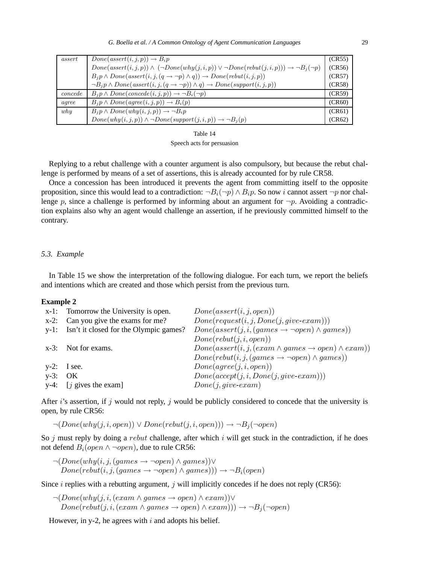| assert  | $Done(assert(i, j, p)) \rightarrow B_i p$                                                                            | (CR55) |
|---------|----------------------------------------------------------------------------------------------------------------------|--------|
|         | $Done(assert(i, j, p)) \wedge (\neg Done(why(j, i, p)) \vee \neg Done(rebut(j, i, p))) \rightarrow \neg B_i(\neg p)$ | (CR56) |
|         | $B_i p \wedge Done(assert(i, j, (q \rightarrow \neg p) \wedge q)) \rightarrow Done(rebut(i, j, p))$                  | (CR57) |
|         | $\neg B_i p \wedge Done(assert(i, j, (q \rightarrow \neg p)) \wedge q) \rightarrow Done(support(i, j, p))$           | (CR58) |
| concede | $B_i p \wedge Done(concede(i, j, p)) \rightarrow \neg B_i(\neg p)$                                                   | (CR59) |
| agree   | $B_i p \wedge Done(\text{agree}(i, j, p)) \rightarrow B_i(p)$                                                        | (CR60) |
| whu     | $B_i p \wedge Done(why(i, j, p)) \rightarrow \neg B_i p$                                                             | (CR61) |
|         | $Done(why(i, j, p)) \wedge \neg Done(support(j, i, p)) \rightarrow \neg B_i(p)$                                      | (CR62) |

Speech acts for persuasion

Replying to a rebut challenge with a counter argument is also compulsory, but because the rebut challenge is performed by means of a set of assertions, this is already accounted for by rule CR58.

Once a concession has been introduced it prevents the agent from committing itself to the opposite proposition, since this would lead to a contradiction:  $\neg B_i(\neg p) \wedge B_i p$ . So now i cannot assert  $\neg p$  nor challenge p, since a challenge is performed by informing about an argument for  $\neg p$ . Avoiding a contradiction explains also why an agent would challenge an assertion, if he previously committed himself to the contrary.

#### *5.3. Example*

In Table 15 we show the interpretation of the following dialogue. For each turn, we report the beliefs and intentions which are created and those which persist from the previous turn.

#### **Example 2**

| $x-1$ :    | Tomorrow the University is open.            | Done(assert(i, j, open))                                             |
|------------|---------------------------------------------|----------------------------------------------------------------------|
|            | $x-2$ : Can you give the exams for me?      | $Done(request(i, j, Done(j, give-exam)))$                            |
|            | y-1: Isn't it closed for the Olympic games? | $Done(assert(j, i, (games \rightarrow \neg open) \land games))$      |
|            |                                             | Done(rebut(j,i,open))                                                |
|            | x-3: Not for exams.                         | $Done(assert(i, j, (exam \land games \rightarrow open) \land exam))$ |
|            |                                             | $Done(rebut(i, j, (games \rightarrow \neg open) \land games))$       |
|            | $y-2$ : I see.                              | Done(agree(j, i, open))                                              |
| $y-3$ : OK |                                             | $Done(accept(j, i, Done(j, give\text{-}exam)))$                      |
|            | $y-4$ : [ <i>j</i> gives the exam]          | $Done(j,give-exam)$                                                  |
|            |                                             |                                                                      |

After i's assertion, if j would not reply, j would be publicly considered to concede that the university is open, by rule CR56:

 $\neg(Done(why(j,i,open)) \lor Done(rebut(j,i,open))) \rightarrow \neg B_i(\neg open)$ 

So  $j$  must reply by doing a *rebut* challenge, after which  $i$  will get stuck in the contradiction, if he does not defend  $B_i(open ∧ ¬open)$ , due to rule CR56:

 $\neg(Done(why(i,j,(games \rightarrow \neg open) \land games)) \vee$  $Done(rebut(i,j,(games \rightarrow \neg open) \land games))) \rightarrow \neg B_i(open)$ 

Since  $i$  replies with a rebutting argument,  $j$  will implicitly concedes if he does not reply (CR56):

 $\neg(Done(why(j,i,(exam \land games \rightarrow open) \land exam))\lor$  $Done(rebut(j,i,(exam \land games \rightarrow open) \land exam))) \rightarrow \neg B_j(\neg open)$ 

However, in y-2, he agrees with  $i$  and adopts his belief.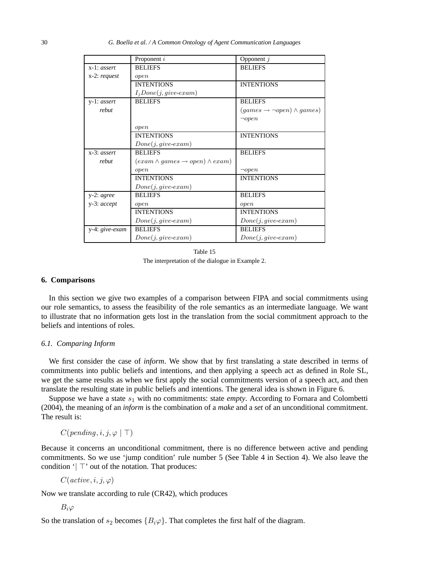30 *G. Boella et al. / A Common Ontology of Agent Communication Languages*

|                  | Proponent i                                       | Opponent $j$                                 |
|------------------|---------------------------------------------------|----------------------------------------------|
| $x-1: assert$    | <b>BELIEFS</b>                                    | <b>BELIEFS</b>                               |
| $x-2$ : request  | open                                              |                                              |
|                  | <b>INTENTIONS</b>                                 | <b>INTENTIONS</b>                            |
|                  | $I_jDone(j,give\text{-}exam)$                     |                                              |
| y-1: assert      | <b>BELIEFS</b>                                    | <b>BELIEFS</b>                               |
| rebut            |                                                   | $(games \rightarrow \neg open) \land games)$ |
|                  |                                                   | $\neg open$                                  |
|                  | open                                              |                                              |
|                  | <b>INTENTIONS</b>                                 | <b>INTENTIONS</b>                            |
|                  | $Done(j, give\text{-}exam)$                       |                                              |
| $x-3$ : assert   | <b>BELIEFS</b>                                    | <b>BELIEFS</b>                               |
| rebut            | $(exam \land games \rightarrow open) \land exam)$ |                                              |
|                  | open                                              | $\neg open$                                  |
|                  | <b>INTENTIONS</b>                                 | <b>INTENTIONS</b>                            |
|                  | $Done(j,give-exam)$                               |                                              |
| $y-2$ : agree    | <b>BELIEFS</b>                                    | <b>BELIEFS</b>                               |
| $y-3$ : $accept$ | open                                              | open                                         |
|                  | <b>INTENTIONS</b>                                 | <b>INTENTIONS</b>                            |
|                  | $Done(j, give\text{-}exam)$                       | $Done(j, give\text{-}exam)$                  |
| y-4: give-exam   | <b>BELIEFS</b>                                    | <b>BELIEFS</b>                               |
|                  | $Done(j,give-exam)$                               | $Done(j, give\text{-}exam)$                  |

Table 15 The interpretation of the dialogue in Example 2.

## **6. Comparisons**

In this section we give two examples of a comparison between FIPA and social commitments using our role semantics, to assess the feasibility of the role semantics as an intermediate language. We want to illustrate that no information gets lost in the translation from the social commitment approach to the beliefs and intentions of roles.

#### *6.1. Comparing Inform*

We first consider the case of *inform*. We show that by first translating a state described in terms of commitments into public beliefs and intentions, and then applying a speech act as defined in Role SL, we get the same results as when we first apply the social commitments version of a speech act, and then translate the resulting state in public beliefs and intentions. The general idea is shown in Figure 6.

Suppose we have a state  $s_1$  with no commitments: state *empty*. According to Fornara and Colombetti (2004), the meaning of an *inform* is the combination of a *make* and a *set* of an unconditional commitment. The result is:

 $C(pending, i, j, \varphi \mid \top)$ 

Because it concerns an unconditional commitment, there is no difference between active and pending commitments. So we use 'jump condition' rule number 5 (See Table 4 in Section 4). We also leave the condition '| ⊤' out of the notation. That produces:

 $C(\textit{active}, i, j, \varphi)$ 

Now we translate according to rule (CR42), which produces

 $B_i\varphi$ 

So the translation of  $s_2$  becomes  ${B_i\varphi}$ . That completes the first half of the diagram.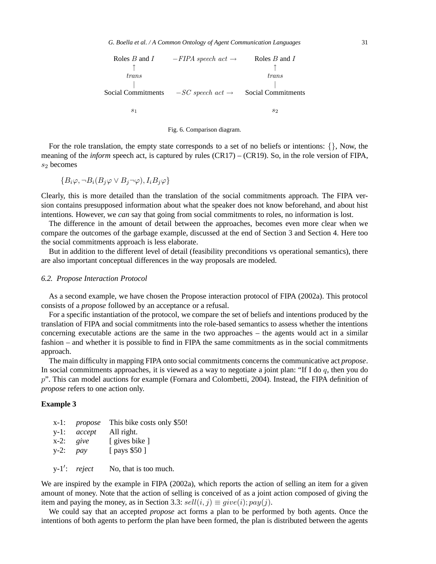



For the role translation, the empty state corresponds to a set of no beliefs or intentions:  $\{\}$ , Now, the meaning of the *inform* speech act, is captured by rules (CR17) – (CR19). So, in the role version of FIPA,  $s_2$  becomes

$$
\{B_i\varphi, \neg B_i(B_j\varphi \vee B_j \neg \varphi), I_iB_j\varphi\}
$$

Clearly, this is more detailed than the translation of the social commitments approach. The FIPA version contains presupposed information about what the speaker does not know beforehand, and about hist intentions. However, we *can* say that going from social commitments to roles, no information is lost.

The difference in the amount of detail between the approaches, becomes even more clear when we compare the outcomes of the garbage example, discussed at the end of Section 3 and Section 4. Here too the social commitments approach is less elaborate.

But in addition to the different level of detail (feasibility preconditions vs operational semantics), there are also important conceptual differences in the way proposals are modeled.

#### *6.2. Propose Interaction Protocol*

As a second example, we have chosen the Propose interaction protocol of FIPA (2002a). This protocol consists of a *propose* followed by an acceptance or a refusal.

For a specific instantiation of the protocol, we compare the set of beliefs and intentions produced by the translation of FIPA and social commitments into the role-based semantics to assess whether the intentions concerning executable actions are the same in the two approaches – the agents would act in a similar fashion – and whether it is possible to find in FIPA the same commitments as in the social commitments approach.

The main difficulty in mapping FIPA onto social commitments concerns the communicative act *propose*. In social commitments approaches, it is viewed as a way to negotiate a joint plan: "If I do  $q$ , then you do p". This can model auctions for example (Fornara and Colombetti, 2004). Instead, the FIPA definition of *propose* refers to one action only.

#### **Example 3**

| $x-1$ :       |                 | <i>propose</i> This bike costs only \$50! |
|---------------|-----------------|-------------------------------------------|
| $y-1$ :       | accept          | All right.                                |
| $x-2$ :       | give            | [ gives bike ]                            |
| $y-2$ : $pay$ |                 | [ pays \$50 ]                             |
|               |                 |                                           |
|               | $y-1'$ : reject | No, that is too much.                     |

We are inspired by the example in FIPA (2002a), which reports the action of selling an item for a given amount of money. Note that the action of selling is conceived of as a joint action composed of giving the item and paying the money, as in Section 3.3:  $\text{sell}(i,j) \equiv \text{give}(i); \text{pay}(j)$ .

We could say that an accepted *propose* act forms a plan to be performed by both agents. Once the intentions of both agents to perform the plan have been formed, the plan is distributed between the agents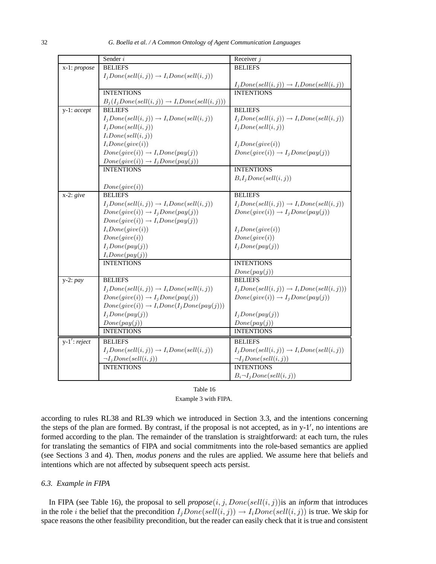|                 | Sender i                                                 | Receiver $j$                                         |
|-----------------|----------------------------------------------------------|------------------------------------------------------|
| x-1: propose    | <b>BELIEFS</b>                                           | <b>BELIEFS</b>                                       |
|                 | $I_jDone(sell(i,j)) \rightarrow I_iDone(sell(i,j))$      |                                                      |
|                 |                                                          | $I_jDone(sell(i,j)) \rightarrow I_iDone(sell(i,j))$  |
|                 | <b>INTENTIONS</b>                                        | <b>INTENTIONS</b>                                    |
|                 | $B_j(I_jDone(sell(i,j)) \rightarrow I_iDone(sell(i,j)))$ |                                                      |
| y-1: accept     | <b>BELIEFS</b>                                           | <b>BELIEFS</b>                                       |
|                 | $I_j Done(sell(i, j)) \rightarrow I_iDone(sell(i, j))$   | $I_jDone(sell(i,j)) \rightarrow I_iDone(sell(i,j))$  |
|                 | $I_j Done(sell(i, j))$                                   | $I_jDone(sell(i,j))$                                 |
|                 | $I_i Done(sell(i, j))$                                   |                                                      |
|                 | $I_i Done(give(i))$                                      | $I_jDone(give(i))$                                   |
|                 | $Done(give(i)) \rightarrow I_iDone(pay(j))$              | $Done(give(i)) \rightarrow I_jDone(pay(j))$          |
|                 | $Done(give(i)) \rightarrow I_jDone(pay(j))$              |                                                      |
|                 | <b>INTENTIONS</b>                                        | <b>INTENTIONS</b>                                    |
|                 |                                                          | $B_iI_jDone(sell(i,j))$                              |
|                 | Done(give(i))                                            |                                                      |
| $x-2$ : give    | <b>BELIEFS</b>                                           | <b>BELIEFS</b>                                       |
|                 | $I_jDone(sell(i,j)) \rightarrow I_iDone(sell(i,j))$      | $I_jDone(sell(i,j)) \rightarrow I_iDone(sell(i,j))$  |
|                 | $Done(give(i)) \rightarrow I_jDone(pay(j))$              | $Done(give(i)) \rightarrow I_jDone(pay(j))$          |
|                 | $Done(give(i)) \rightarrow I_iDone(pay(j))$              |                                                      |
|                 | $I_i Done(jive(i))$                                      | $I_jDone(give(i))$                                   |
|                 | Done(give(i))                                            | Done(give(i))                                        |
|                 | $I_jDone(pay(j))$                                        | $I_jDone(pay(j))$                                    |
|                 | $I_i Done(pay(j))$                                       |                                                      |
|                 | <b>INTENTIONS</b>                                        | <b>INTENTIONS</b>                                    |
|                 |                                                          | Done(pay(j))                                         |
| $y-2: pay$      | <b>BELIEFS</b>                                           | <b>BELIEFS</b>                                       |
|                 | $I_jDone(sell(i, j)) \rightarrow I_iDone(sell(i, j))$    | $I_jDone(sell(i,j)) \rightarrow I_iDone(sell(i,j)))$ |
|                 | $Done(give(i)) \rightarrow I_jDone(pay(j))$              | $Done(give(i)) \rightarrow I_jDone(pay(j))$          |
|                 | $Done(give(i)) \rightarrow I_iDone(I_jDone(pay(j)))$     |                                                      |
|                 | $I_jDone(pay(j))$                                        | $I_jDone(pay(j))$                                    |
|                 | Done(pay(j))                                             | Done(pay(j))                                         |
|                 | <b>INTENTIONS</b>                                        | <b>INTENTIONS</b>                                    |
| $y-1'$ : reject | <b>BELIEFS</b>                                           | <b>BELIEFS</b>                                       |
|                 | $I_jDone(sell(i,j)) \rightarrow I_iDone(sell(i,j))$      | $I_jDone(sell(i,j)) \rightarrow I_iDone(sell(i,j))$  |
|                 | $\neg I_j Done(sell(i, j))$                              | $\neg I_j Done(sell(i, j))$                          |
|                 | <b>INTENTIONS</b>                                        | <b>INTENTIONS</b>                                    |
|                 |                                                          | $B_i \neg I_j Done(sell(i, j))$                      |

| Table 16             |  |  |  |
|----------------------|--|--|--|
| Example 3 with FIPA. |  |  |  |

according to rules RL38 and RL39 which we introduced in Section 3.3, and the intentions concerning the steps of the plan are formed. By contrast, if the proposal is not accepted, as in  $y-1'$ , no intentions are formed according to the plan. The remainder of the translation is straightforward: at each turn, the rules for translating the semantics of FIPA and social commitments into the role-based semantics are applied (see Sections 3 and 4). Then, *modus ponens* and the rules are applied. We assume here that beliefs and intentions which are not affected by subsequent speech acts persist.

## *6.3. Example in FIPA*

In FIPA (see Table 16), the proposal to sell  $propose(i, j, Done(sell(i, j))$  is an *inform* that introduces in the role *i* the belief that the precondition  $I_jDone(sell(i,j)) \rightarrow I_iDone(sell(i,j))$  is true. We skip for space reasons the other feasibility precondition, but the reader can easily check that it is true and consistent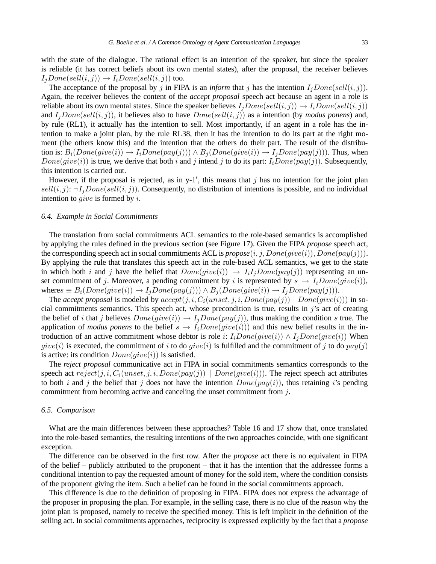with the state of the dialogue. The rational effect is an intention of the speaker, but since the speaker is reliable (it has correct beliefs about its own mental states), after the proposal, the receiver believes  $I_iDone(sell(i,j)) \rightarrow I_iDone(sell(i,j))$  too.

The acceptance of the proposal by j in FIPA is an *inform* that j has the intention  $I_iDone(sell(i,j))$ . Again, the receiver believes the content of the *accept proposal* speech act because an agent in a role is reliable about its own mental states. Since the speaker believes  $I_iDone(sell(i,j)) \rightarrow I_iDone(sell(i,j))$ and  $I_iDone(sell(i,j))$ , it believes also to have  $Done(sell(i,j))$  as a intention (by *modus ponens*) and, by rule (RL1), it actually has the intention to sell. Most importantly, if an agent in a role has the intention to make a joint plan, by the rule RL38, then it has the intention to do its part at the right moment (the others know this) and the intention that the others do their part. The result of the distribution is:  $B_i(Done(give(i)) \rightarrow I_iDone(pay(j))) \land B_j(Done(give(i)) \rightarrow I_jDone(pay(j)))$ . Thus, when  $Done(give(i))$  is true, we derive that both i and j intend j to do its part:  $I_iDone(pay(j))$ . Subsequently, this intention is carried out.

However, if the proposal is rejected, as in y-1', this means that  $j$  has no intention for the joint plan  $sell(i, j): \neg I_jDone(sell(i, j))$ . Consequently, no distribution of intentions is possible, and no individual intention to *give* is formed by  $i$ .

#### *6.4. Example in Social Commitments*

The translation from social commitments ACL semantics to the role-based semantics is accomplished by applying the rules defined in the previous section (see Figure 17). Given the FIPA *propose* speech act, the corresponding speech act in social commitments ACL is  $propose(i, j, Done(give(i)), Done(pay(j))).$ By applying the rule that translates this speech act in the role-based ACL semantics, we get to the state in which both i and j have the belief that  $Done(jive(i)) \rightarrow I_iI_jDone(pay(j))$  representing an unset commitment of j. Moreover, a pending commitment by i is represented by  $s \to I_iDone(give(i)),$ wheres  $\equiv B_i(Done(give(i)) \rightarrow I_iDone(pay(j))) \wedge B_i(Done(give(i)) \rightarrow I_iDone(pay(j))).$ 

The *accept proposal* is modeled by  $accept(j, i, C_i(unset, j, i, Done(pay(j))) | Done(give(i))$  in social commitments semantics. This speech act, whose precondition is true, results in  $j$ 's act of creating the belief of i that j believes  $Done(give(i)) \rightarrow I_jDone(pay(j))$ , thus making the condition s true. The application of *modus ponens* to the belief  $s \to I_iDone(qive(i))$  and this new belief results in the introduction of an active commitment whose debtor is role i:  $I_iDone(give(i)) \wedge I_jDone(give(i))$  When  $give(i)$  is executed, the commitment of i to do  $give(i)$  is fulfilled and the commitment of j to do  $pay(j)$ is active: its condition  $Done(qive(i))$  is satisfied.

The *reject proposal* communicative act in FIPA in social commitments semantics corresponds to the speech act  $reject(j, i, C_i(unset, j, i, Done(pay(j)))$  |  $Done(give(i)))$ . The reject speech act attributes to both i and j the belief that j does not have the intention  $Done(pay(i))$ , thus retaining i's pending commitment from becoming active and canceling the unset commitment from j.

#### *6.5. Comparison*

What are the main differences between these approaches? Table 16 and 17 show that, once translated into the role-based semantics, the resulting intentions of the two approaches coincide, with one significant exception.

The difference can be observed in the first row. After the *propose* act there is no equivalent in FIPA of the belief – publicly attributed to the proponent – that it has the intention that the addressee forms a conditional intention to pay the requested amount of money for the sold item, where the condition consists of the proponent giving the item. Such a belief can be found in the social commitments approach.

This difference is due to the definition of proposing in FIPA. FIPA does not express the advantage of the proposer in proposing the plan. For example, in the selling case, there is no clue of the reason why the joint plan is proposed, namely to receive the specified money. This is left implicit in the definition of the selling act. In social commitments approaches, reciprocity is expressed explicitly by the fact that a *propose*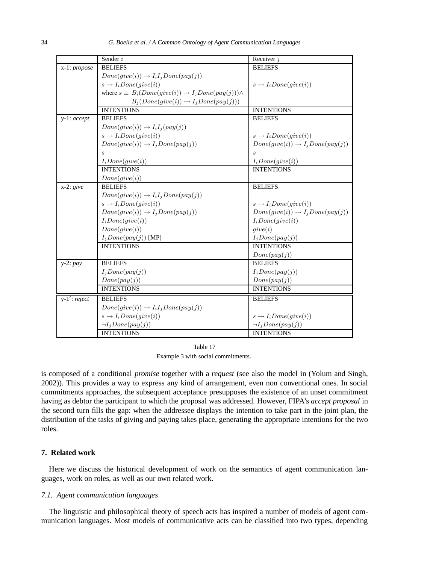|                 | Sender i                                                               |                                             |
|-----------------|------------------------------------------------------------------------|---------------------------------------------|
|                 | <b>BELIEFS</b>                                                         | Receiver $j$<br><b>BELIEFS</b>              |
| x-1: propose    |                                                                        |                                             |
|                 | $Done(give(i)) \rightarrow I_iI_jDone(pay(j))$                         |                                             |
|                 | $s \rightarrow I_i Done(give(i))$                                      | $s \rightarrow I_iDone(give(i))$            |
|                 | where $s \equiv B_i(Done(give(i)) \rightarrow I_jDone(pay(j))) \wedge$ |                                             |
|                 | $B_j(Done(give(i)) \rightarrow I_jDone(pay(j)))$                       |                                             |
|                 | <b>INTENTIONS</b>                                                      | <b>INTENTIONS</b>                           |
| y-1: accept     | <b>BELIEFS</b>                                                         | <b>BELIEFS</b>                              |
|                 | $Done(give(i)) \rightarrow I_iI_j(pay(j))$                             |                                             |
|                 | $s \rightarrow I_i Done(give(i))$                                      | $s \rightarrow I_iDone(give(i))$            |
|                 | $Done(give(i)) \rightarrow I_jDone(pay(j))$                            | $Done(give(i)) \rightarrow I_jDone(pay(j))$ |
|                 | $\mathcal{S}_{\mathcal{S}}$                                            | $\mathcal{S}_{\mathcal{S}}$                 |
|                 | $I_i Done(jive(i))$                                                    | $I_i Done(jive(i))$                         |
|                 | <b>INTENTIONS</b>                                                      | <b>INTENTIONS</b>                           |
|                 | Done(give(i))                                                          |                                             |
| $x-2$ : give    | <b>BELIEFS</b>                                                         | <b>BELIEFS</b>                              |
|                 | $Done(give(i)) \rightarrow I_iI_jDone(pay(j))$                         |                                             |
|                 | $s \rightarrow I_i Done(give(i))$                                      | $s \rightarrow I_i Done(give(i))$           |
|                 | $Done(give(i)) \rightarrow I_jDone(pay(j))$                            | $Done(give(i)) \rightarrow I_jDone(pay(j))$ |
|                 | $I_i Done(jive(i))$                                                    | $I_i Done(jive(i))$                         |
|                 | Done(give(i))                                                          | give (i)                                    |
|                 | $I_jDone(pay(j))$ [MP]                                                 | $I_jDone(pay(j))$                           |
|                 | <b>INTENTIONS</b>                                                      | <b>INTENTIONS</b>                           |
|                 |                                                                        | Done(pay(j))                                |
| $y-2: pay$      | <b>BELIEFS</b>                                                         | <b>BELIEFS</b>                              |
|                 | $I_jDone(pay(j))$                                                      | $I_jDone(pay(j))$                           |
|                 | Done(pay(j))                                                           | Done(pay(j))                                |
|                 | <b>INTENTIONS</b>                                                      | <b>INTENTIONS</b>                           |
| $y-1'$ : reject | <b>BELIEFS</b>                                                         | <b>BELIEFS</b>                              |
|                 | $Done(give(i)) \rightarrow I_iI_jDone(pay(j))$                         |                                             |
|                 | $s \rightarrow I_i Done(give(i))$                                      | $s \rightarrow I_i Done(give(i))$           |
|                 | $\neg I_j Done(pay(j))$                                                | $\neg I_j Done(pay(j))$                     |
|                 | <b>INTENTIONS</b>                                                      | <b>INTENTIONS</b>                           |

Table 17 Example 3 with social commitments.

is composed of a conditional *promise* together with a *request* (see also the model in (Yolum and Singh, 2002)). This provides a way to express any kind of arrangement, even non conventional ones. In social commitments approaches, the subsequent acceptance presupposes the existence of an unset commitment having as debtor the participant to which the proposal was addressed. However, FIPA's *accept proposal* in the second turn fills the gap: when the addressee displays the intention to take part in the joint plan, the distribution of the tasks of giving and paying takes place, generating the appropriate intentions for the two roles.

# **7. Related work**

Here we discuss the historical development of work on the semantics of agent communication languages, work on roles, as well as our own related work.

## *7.1. Agent communication languages*

The linguistic and philosophical theory of speech acts has inspired a number of models of agent communication languages. Most models of communicative acts can be classified into two types, depending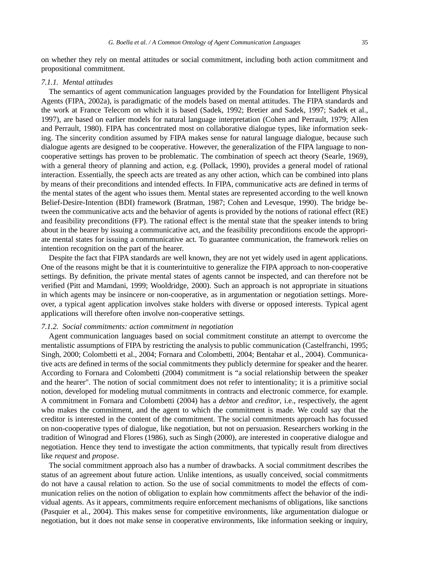on whether they rely on mental attitudes or social commitment, including both action commitment and propositional commitment.

#### *7.1.1. Mental attitudes*

The semantics of agent communication languages provided by the Foundation for Intelligent Physical Agents (FIPA, 2002a), is paradigmatic of the models based on mental attitudes. The FIPA standards and the work at France Telecom on which it is based (Sadek, 1992; Bretier and Sadek, 1997; Sadek et al., 1997), are based on earlier models for natural language interpretation (Cohen and Perrault, 1979; Allen and Perrault, 1980). FIPA has concentrated most on collaborative dialogue types, like information seeking. The sincerity condition assumed by FIPA makes sense for natural language dialogue, because such dialogue agents are designed to be cooperative. However, the generalization of the FIPA language to noncooperative settings has proven to be problematic. The combination of speech act theory (Searle, 1969), with a general theory of planning and action, e.g. (Pollack, 1990), provides a general model of rational interaction. Essentially, the speech acts are treated as any other action, which can be combined into plans by means of their preconditions and intended effects. In FIPA, communicative acts are defined in terms of the mental states of the agent who issues them. Mental states are represented according to the well known Belief-Desire-Intention (BDI) framework (Bratman, 1987; Cohen and Levesque, 1990). The bridge between the communicative acts and the behavior of agents is provided by the notions of rational effect (RE) and feasibility preconditions (FP). The rational effect is the mental state that the speaker intends to bring about in the hearer by issuing a communicative act, and the feasibility preconditions encode the appropriate mental states for issuing a communicative act. To guarantee communication, the framework relies on intention recognition on the part of the hearer.

Despite the fact that FIPA standards are well known, they are not yet widely used in agent applications. One of the reasons might be that it is counterintuitive to generalize the FIPA approach to non-cooperative settings. By definition, the private mental states of agents cannot be inspected, and can therefore not be verified (Pitt and Mamdani, 1999; Wooldridge, 2000). Such an approach is not appropriate in situations in which agents may be insincere or non-cooperative, as in argumentation or negotiation settings. Moreover, a typical agent application involves stake holders with diverse or opposed interests. Typical agent applications will therefore often involve non-cooperative settings.

## *7.1.2. Social commitments: action commitment in negotiation*

Agent communication languages based on social commitment constitute an attempt to overcome the mentalistic assumptions of FIPA by restricting the analysis to public communication (Castelfranchi, 1995; Singh, 2000; Colombetti et al., 2004; Fornara and Colombetti, 2004; Bentahar et al., 2004). Communicative acts are defined in terms of the social commitments they publicly determine for speaker and the hearer. According to Fornara and Colombetti (2004) commitment is "a social relationship between the speaker and the hearer". The notion of social commitment does not refer to intentionality; it is a primitive social notion, developed for modeling mutual commitments in contracts and electronic commerce, for example. A commitment in Fornara and Colombetti (2004) has a *debtor* and *creditor*, i.e., respectively, the agent who makes the commitment, and the agent to which the commitment is made. We could say that the creditor is interested in the content of the commitment. The social commitments approach has focussed on non-cooperative types of dialogue, like negotiation, but not on persuasion. Researchers working in the tradition of Winograd and Flores (1986), such as Singh (2000), are interested in cooperative dialogue and negotiation. Hence they tend to investigate the action commitments, that typically result from directives like *request* and *propose*.

The social commitment approach also has a number of drawbacks. A social commitment describes the status of an agreement about future action. Unlike intentions, as usually conceived, social commitments do not have a causal relation to action. So the use of social commitments to model the effects of communication relies on the notion of obligation to explain how commitments affect the behavior of the individual agents. As it appears, commitments require enforcement mechanisms of obligations, like sanctions (Pasquier et al., 2004). This makes sense for competitive environments, like argumentation dialogue or negotiation, but it does not make sense in cooperative environments, like information seeking or inquiry,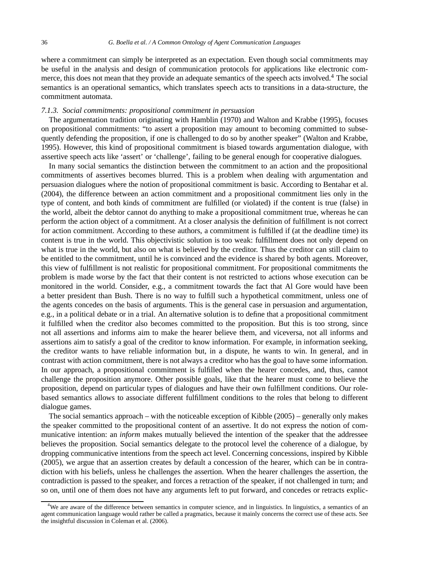where a commitment can simply be interpreted as an expectation. Even though social commitments may be useful in the analysis and design of communication protocols for applications like electronic commerce, this does not mean that they provide an adequate semantics of the speech acts involved.<sup>4</sup> The social semantics is an operational semantics, which translates speech acts to transitions in a data-structure, the commitment automata.

#### *7.1.3. Social commitments: propositional commitment in persuasion*

The argumentation tradition originating with Hamblin (1970) and Walton and Krabbe (1995), focuses on propositional commitments: "to assert a proposition may amount to becoming committed to subsequently defending the proposition, if one is challenged to do so by another speaker" (Walton and Krabbe, 1995). However, this kind of propositional commitment is biased towards argumentation dialogue, with assertive speech acts like 'assert' or 'challenge', failing to be general enough for cooperative dialogues.

In many social semantics the distinction between the commitment to an action and the propositional commitments of assertives becomes blurred. This is a problem when dealing with argumentation and persuasion dialogues where the notion of propositional commitment is basic. According to Bentahar et al. (2004), the difference between an action commitment and a propositional commitment lies only in the type of content, and both kinds of commitment are fulfilled (or violated) if the content is true (false) in the world, albeit the debtor cannot do anything to make a propositional commitment true, whereas he can perform the action object of a commitment. At a closer analysis the definition of fulfillment is not correct for action commitment. According to these authors, a commitment is fulfilled if (at the deadline time) its content is true in the world. This objectivistic solution is too weak: fulfillment does not only depend on what is true in the world, but also on what is believed by the creditor. Thus the creditor can still claim to be entitled to the commitment, until he is convinced and the evidence is shared by both agents. Moreover, this view of fulfillment is not realistic for propositional commitment. For propositional commitments the problem is made worse by the fact that their content is not restricted to actions whose execution can be monitored in the world. Consider, e.g., a commitment towards the fact that Al Gore would have been a better president than Bush. There is no way to fulfill such a hypothetical commitment, unless one of the agents concedes on the basis of arguments. This is the general case in persuasion and argumentation, e.g., in a political debate or in a trial. An alternative solution is to define that a propositional commitment it fulfilled when the creditor also becomes committed to the proposition. But this is too strong, since not all assertions and informs aim to make the hearer believe them, and viceversa, not all informs and assertions aim to satisfy a goal of the creditor to know information. For example, in information seeking, the creditor wants to have reliable information but, in a dispute, he wants to win. In general, and in contrast with action commitment, there is not always a creditor who has the goal to have some information. In our approach, a propositional commitment is fulfilled when the hearer concedes, and, thus, cannot challenge the proposition anymore. Other possible goals, like that the hearer must come to believe the proposition, depend on particular types of dialogues and have their own fulfillment conditions. Our rolebased semantics allows to associate different fulfillment conditions to the roles that belong to different dialogue games.

The social semantics approach – with the noticeable exception of Kibble (2005) – generally only makes the speaker committed to the propositional content of an assertive. It do not express the notion of communicative intention: an *inform* makes mutually believed the intention of the speaker that the addressee believes the proposition. Social semantics delegate to the protocol level the coherence of a dialogue, by dropping communicative intentions from the speech act level. Concerning concessions, inspired by Kibble (2005), we argue that an assertion creates by default a concession of the hearer, which can be in contradiction with his beliefs, unless he challenges the assertion. When the hearer challenges the assertion, the contradiction is passed to the speaker, and forces a retraction of the speaker, if not challenged in turn; and so on, until one of them does not have any arguments left to put forward, and concedes or retracts explic-

<sup>&</sup>lt;sup>4</sup>We are aware of the difference between semantics in computer science, and in linguistics. In linguistics, a semantics of an agent communication language would rather be called a pragmatics, because it mainly concerns the correct use of these acts. See the insightful discussion in Coleman et al. (2006).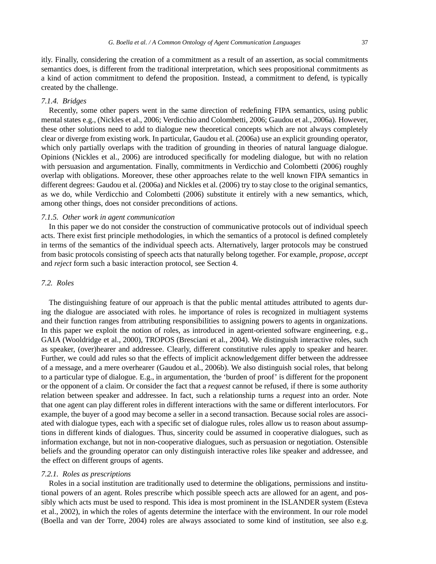itly. Finally, considering the creation of a commitment as a result of an assertion, as social commitments semantics does, is different from the traditional interpretation, which sees propositional commitments as a kind of action commitment to defend the proposition. Instead, a commitment to defend, is typically created by the challenge.

## *7.1.4. Bridges*

Recently, some other papers went in the same direction of redefining FIPA semantics, using public mental states e.g., (Nickles et al., 2006; Verdicchio and Colombetti, 2006; Gaudou et al., 2006a). However, these other solutions need to add to dialogue new theoretical concepts which are not always completely clear or diverge from existing work. In particular, Gaudou et al. (2006a) use an explicit grounding operator, which only partially overlaps with the tradition of grounding in theories of natural language dialogue. Opinions (Nickles et al., 2006) are introduced specifically for modeling dialogue, but with no relation with persuasion and argumentation. Finally, commitments in Verdicchio and Colombetti (2006) roughly overlap with obligations. Moreover, these other approaches relate to the well known FIPA semantics in different degrees: Gaudou et al. (2006a) and Nickles et al. (2006) try to stay close to the original semantics, as we do, while Verdicchio and Colombetti (2006) substitute it entirely with a new semantics, which, among other things, does not consider preconditions of actions.

#### *7.1.5. Other work in agent communication*

In this paper we do not consider the construction of communicative protocols out of individual speech acts. There exist first principle methodologies, in which the semantics of a protocol is defined completely in terms of the semantics of the individual speech acts. Alternatively, larger protocols may be construed from basic protocols consisting of speech acts that naturally belong together. For example, *propose*, *accept* and *reject* form such a basic interaction protocol, see Section 4.

# *7.2. Roles*

The distinguishing feature of our approach is that the public mental attitudes attributed to agents during the dialogue are associated with roles. he importance of roles is recognized in multiagent systems and their function ranges from attributing responsibilities to assigning powers to agents in organizations. In this paper we exploit the notion of roles, as introduced in agent-oriented software engineering, e.g., GAIA (Wooldridge et al., 2000), TROPOS (Bresciani et al., 2004). We distinguish interactive roles, such as speaker, (over)hearer and addressee. Clearly, different constitutive rules apply to speaker and hearer. Further, we could add rules so that the effects of implicit acknowledgement differ between the addressee of a message, and a mere overhearer (Gaudou et al., 2006b). We also distinguish social roles, that belong to a particular type of dialogue. E.g., in argumentation, the 'burden of proof' is different for the proponent or the opponent of a claim. Or consider the fact that a *request* cannot be refused, if there is some authority relation between speaker and addressee. In fact, such a relationship turns a *request* into an order. Note that one agent can play different roles in different interactions with the same or different interlocutors. For example, the buyer of a good may become a seller in a second transaction. Because social roles are associated with dialogue types, each with a specific set of dialogue rules, roles allow us to reason about assumptions in different kinds of dialogues. Thus, sincerity could be assumed in cooperative dialogues, such as information exchange, but not in non-cooperative dialogues, such as persuasion or negotiation. Ostensible beliefs and the grounding operator can only distinguish interactive roles like speaker and addressee, and the effect on different groups of agents.

## *7.2.1. Roles as prescriptions*

Roles in a social institution are traditionally used to determine the obligations, permissions and institutional powers of an agent. Roles prescribe which possible speech acts are allowed for an agent, and possibly which acts must be used to respond. This idea is most prominent in the ISLANDER system (Esteva et al., 2002), in which the roles of agents determine the interface with the environment. In our role model (Boella and van der Torre, 2004) roles are always associated to some kind of institution, see also e.g.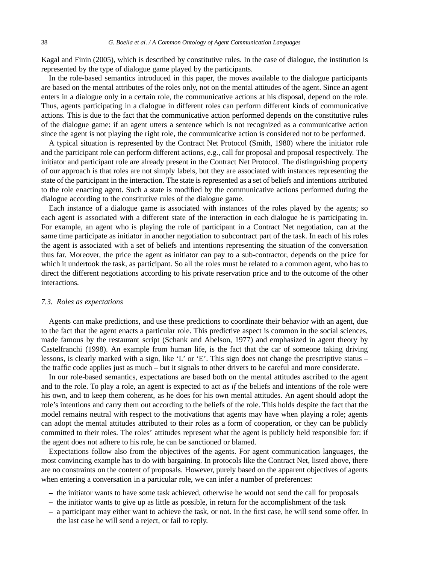Kagal and Finin (2005), which is described by constitutive rules. In the case of dialogue, the institution is represented by the type of dialogue game played by the participants.

In the role-based semantics introduced in this paper, the moves available to the dialogue participants are based on the mental attributes of the roles only, not on the mental attitudes of the agent. Since an agent enters in a dialogue only in a certain role, the communicative actions at his disposal, depend on the role. Thus, agents participating in a dialogue in different roles can perform different kinds of communicative actions. This is due to the fact that the communicative action performed depends on the constitutive rules of the dialogue game: if an agent utters a sentence which is not recognized as a communicative action since the agent is not playing the right role, the communicative action is considered not to be performed.

A typical situation is represented by the Contract Net Protocol (Smith, 1980) where the initiator role and the participant role can perform different actions, e.g., call for proposal and proposal respectively. The initiator and participant role are already present in the Contract Net Protocol. The distinguishing property of our approach is that roles are not simply labels, but they are associated with instances representing the state of the participant in the interaction. The state is represented as a set of beliefs and intentions attributed to the role enacting agent. Such a state is modified by the communicative actions performed during the dialogue according to the constitutive rules of the dialogue game.

Each instance of a dialogue game is associated with instances of the roles played by the agents; so each agent is associated with a different state of the interaction in each dialogue he is participating in. For example, an agent who is playing the role of participant in a Contract Net negotiation, can at the same time participate as initiator in another negotiation to subcontract part of the task. In each of his roles the agent is associated with a set of beliefs and intentions representing the situation of the conversation thus far. Moreover, the price the agent as initiator can pay to a sub-contractor, depends on the price for which it undertook the task, as participant. So all the roles must be related to a common agent, who has to direct the different negotiations according to his private reservation price and to the outcome of the other interactions.

#### *7.3. Roles as expectations*

Agents can make predictions, and use these predictions to coordinate their behavior with an agent, due to the fact that the agent enacts a particular role. This predictive aspect is common in the social sciences, made famous by the restaurant script (Schank and Abelson, 1977) and emphasized in agent theory by Castelfranchi (1998). An example from human life, is the fact that the car of someone taking driving lessons, is clearly marked with a sign, like 'L' or 'E'. This sign does not change the prescriptive status – the traffic code applies just as much – but it signals to other drivers to be careful and more considerate.

In our role-based semantics, expectations are based both on the mental attitudes ascribed to the agent and to the role. To play a role, an agent is expected to act *as if* the beliefs and intentions of the role were his own, and to keep them coherent, as he does for his own mental attitudes. An agent should adopt the role's intentions and carry them out according to the beliefs of the role. This holds despite the fact that the model remains neutral with respect to the motivations that agents may have when playing a role; agents can adopt the mental attitudes attributed to their roles as a form of cooperation, or they can be publicly committed to their roles. The roles' attitudes represent what the agent is publicly held responsible for: if the agent does not adhere to his role, he can be sanctioned or blamed.

Expectations follow also from the objectives of the agents. For agent communication languages, the most convincing example has to do with bargaining. In protocols like the Contract Net, listed above, there are no constraints on the content of proposals. However, purely based on the apparent objectives of agents when entering a conversation in a particular role, we can infer a number of preferences:

- **–** the initiator wants to have some task achieved, otherwise he would not send the call for proposals
- **–** the initiator wants to give up as little as possible, in return for the accomplishment of the task
- **–** a participant may either want to achieve the task, or not. In the first case, he will send some offer. In the last case he will send a reject, or fail to reply.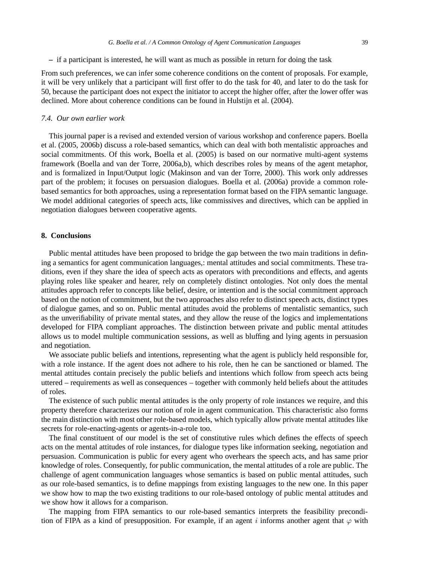**–** if a participant is interested, he will want as much as possible in return for doing the task

From such preferences, we can infer some coherence conditions on the content of proposals. For example, it will be very unlikely that a participant will first offer to do the task for 40, and later to do the task for 50, because the participant does not expect the initiator to accept the higher offer, after the lower offer was declined. More about coherence conditions can be found in Hulstijn et al. (2004).

#### *7.4. Our own earlier work*

This journal paper is a revised and extended version of various workshop and conference papers. Boella et al. (2005, 2006b) discuss a role-based semantics, which can deal with both mentalistic approaches and social commitments. Of this work, Boella et al. (2005) is based on our normative multi-agent systems framework (Boella and van der Torre, 2006a,b), which describes roles by means of the agent metaphor, and is formalized in Input/Output logic (Makinson and van der Torre, 2000). This work only addresses part of the problem; it focuses on persuasion dialogues. Boella et al. (2006a) provide a common rolebased semantics for both approaches, using a representation format based on the FIPA semantic language. We model additional categories of speech acts, like commissives and directives, which can be applied in negotiation dialogues between cooperative agents.

#### **8. Conclusions**

Public mental attitudes have been proposed to bridge the gap between the two main traditions in defining a semantics for agent communication languages,: mental attitudes and social commitments. These traditions, even if they share the idea of speech acts as operators with preconditions and effects, and agents playing roles like speaker and hearer, rely on completely distinct ontologies. Not only does the mental attitudes approach refer to concepts like belief, desire, or intention and is the social commitment approach based on the notion of commitment, but the two approaches also refer to distinct speech acts, distinct types of dialogue games, and so on. Public mental attitudes avoid the problems of mentalistic semantics, such as the unverifiability of private mental states, and they allow the reuse of the logics and implementations developed for FIPA compliant approaches. The distinction between private and public mental attitudes allows us to model multiple communication sessions, as well as bluffing and lying agents in persuasion and negotiation.

We associate public beliefs and intentions, representing what the agent is publicly held responsible for, with a role instance. If the agent does not adhere to his role, then he can be sanctioned or blamed. The mental attitudes contain precisely the public beliefs and intentions which follow from speech acts being uttered – requirements as well as consequences – together with commonly held beliefs about the attitudes of roles.

The existence of such public mental attitudes is the only property of role instances we require, and this property therefore characterizes our notion of role in agent communication. This characteristic also forms the main distinction with most other role-based models, which typically allow private mental attitudes like secrets for role-enacting-agents or agents-in-a-role too.

The final constituent of our model is the set of constitutive rules which defines the effects of speech acts on the mental attitudes of role instances, for dialogue types like information seeking, negotiation and persuasion. Communication is public for every agent who overhears the speech acts, and has same prior knowledge of roles. Consequently, for public communication, the mental attitudes of a role are public. The challenge of agent communication languages whose semantics is based on public mental attitudes, such as our role-based semantics, is to define mappings from existing languages to the new one. In this paper we show how to map the two existing traditions to our role-based ontology of public mental attitudes and we show how it allows for a comparison.

The mapping from FIPA semantics to our role-based semantics interprets the feasibility precondition of FIPA as a kind of presupposition. For example, if an agent i informs another agent that  $\varphi$  with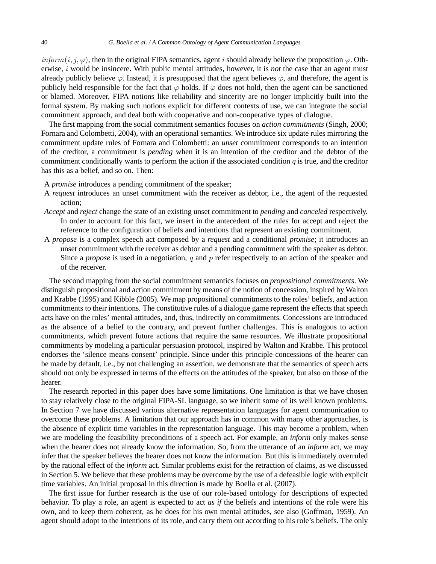inform(i, j, $\varphi$ ), then in the original FIPA semantics, agent i should already believe the proposition  $\varphi$ . Otherwise, i would be insincere. With public mental attitudes, however, it is *not* the case that an agent must already publicly believe  $\varphi$ . Instead, it is presupposed that the agent believes  $\varphi$ , and therefore, the agent is publicly held responsible for the fact that  $\varphi$  holds. If  $\varphi$  does not hold, then the agent can be sanctioned or blamed. Moreover, FIPA notions like reliability and sincerity are no longer implicitly built into the formal system. By making such notions explicit for different contexts of use, we can integrate the social commitment approach, and deal both with cooperative and non-cooperative types of dialogue.

The first mapping from the social commitment semantics focuses on *action commitments* (Singh, 2000; Fornara and Colombetti, 2004), with an operational semantics. We introduce six update rules mirroring the commitment update rules of Fornara and Colombetti: an *unset* commitment corresponds to an intention of the creditor, a commitment is *pending* when it is an intention of the creditor and the debtor of the commitment conditionally wants to perform the action if the associated condition  $q$  is true, and the creditor has this as a belief, and so on. Then:

- A *promise* introduces a pending commitment of the speaker;
- A *request* introduces an unset commitment with the receiver as debtor, i.e., the agent of the requested action;
- *Accept* and *reject* change the state of an existing unset commitment to *pending* and *canceled* respectively. In order to account for this fact, we insert in the antecedent of the rules for accept and reject the reference to the configuration of beliefs and intentions that represent an existing commitment.
- A *propose* is a complex speech act composed by a *request* and a conditional *promise*; it introduces an unset commitment with the receiver as debtor and a pending commitment with the speaker as debtor. Since a *propose* is used in a negotiation, q and p refer respectively to an action of the speaker and of the receiver.

The second mapping from the social commitment semantics focuses on *propositional commitments*. We distinguish propositional and action commitment by means of the notion of concession, inspired by Walton and Krabbe (1995) and Kibble (2005). We map propositional commitments to the roles' beliefs, and action commitments to their intentions. The constitutive rules of a dialogue game represent the effects that speech acts have on the roles' mental attitudes, and, thus, indirectly on commitments. Concessions are introduced as the absence of a belief to the contrary, and prevent further challenges. This is analogous to action commitments, which prevent future actions that require the same resources. We illustrate propositional commitments by modeling a particular persuasion protocol, inspired by Walton and Krabbe. This protocol endorses the 'silence means consent' principle. Since under this principle concessions of the hearer can be made by default, i.e., by not challenging an assertion, we demonstrate that the semantics of speech acts should not only be expressed in terms of the effects on the attitudes of the speaker, but also on those of the hearer.

The research reported in this paper does have some limitations. One limitation is that we have chosen to stay relatively close to the original FIPA-SL language, so we inherit some of its well known problems. In Section 7 we have discussed various alternative representation languages for agent communication to overcome these problems. A limitation that our approach has in common with many other approaches, is the absence of explicit time variables in the representation language. This may become a problem, when we are modeling the feasibility preconditions of a speech act. For example, an *inform* only makes sense when the hearer does not already know the information. So, from the utterance of an *inform* act, we may infer that the speaker believes the hearer does not know the information. But this is immediately overruled by the rational effect of the *inform* act. Similar problems exist for the retraction of claims, as we discussed in Section 5. We believe that these problems may be overcome by the use of a defeasible logic with explicit time variables. An initial proposal in this direction is made by Boella et al. (2007).

The first issue for further research is the use of our role-based ontology for descriptions of expected behavior. To play a role, an agent is expected to act *as if* the beliefs and intentions of the role were his own, and to keep them coherent, as he does for his own mental attitudes, see also (Goffman, 1959). An agent should adopt to the intentions of its role, and carry them out according to his role's beliefs. The only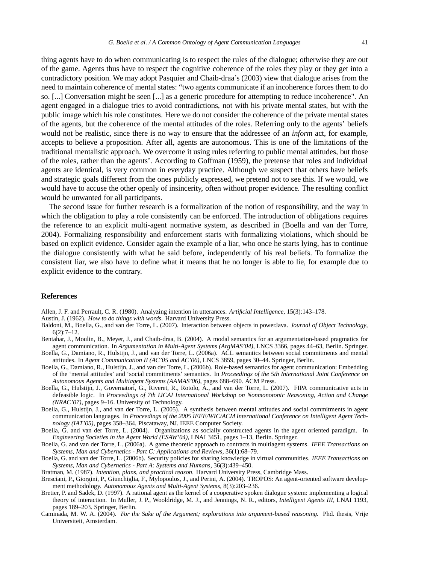thing agents have to do when communicating is to respect the rules of the dialogue; otherwise they are out of the game. Agents thus have to respect the cognitive coherence of the roles they play or they get into a contradictory position. We may adopt Pasquier and Chaib-draa's (2003) view that dialogue arises from the need to maintain coherence of mental states: "two agents communicate if an incoherence forces them to do so. [...] Conversation might be seen [...] as a generic procedure for attempting to reduce incoherence". An agent engaged in a dialogue tries to avoid contradictions, not with his private mental states, but with the public image which his role constitutes. Here we do not consider the coherence of the private mental states of the agents, but the coherence of the mental attitudes of the roles. Referring only to the agents' beliefs would not be realistic, since there is no way to ensure that the addressee of an *inform* act, for example, accepts to believe a proposition. After all, agents are autonomous. This is one of the limitations of the traditional mentalistic approach. We overcome it using rules referring to public mental attitudes, but those of the roles, rather than the agents'. According to Goffman (1959), the pretense that roles and individual agents are identical, is very common in everyday practice. Although we suspect that others have beliefs and strategic goals different from the ones publicly expressed, we pretend not to see this. If we would, we would have to accuse the other openly of insincerity, often without proper evidence. The resulting conflict would be unwanted for all participants.

The second issue for further research is a formalization of the notion of responsibility, and the way in which the obligation to play a role consistently can be enforced. The introduction of obligations requires the reference to an explicit multi-agent normative system, as described in (Boella and van der Torre, 2004). Formalizing responsibility and enforcement starts with formalizing violations, which should be based on explicit evidence. Consider again the example of a liar, who once he starts lying, has to continue the dialogue consistently with what he said before, independently of his real beliefs. To formalize the consistent liar, we also have to define what it means that he no longer is able to lie, for example due to explicit evidence to the contrary.

#### **References**

Allen, J. F. and Perrault, C. R. (1980). Analyzing intention in utterances. *Artificial Intelligence*, 15(3):143–178.

Austin, J. (1962). *How to do things with words*. Harvard University Press.

- Baldoni, M., Boella, G., and van der Torre, L. (2007). Interaction between objects in powerJava. *Journal of Object Technology*, 6(2):7–12.
- Bentahar, J., Moulin, B., Meyer, J., and Chaib-draa, B. (2004). A modal semantics for an argumentation-based pragmatics for agent communication. In *Argumentation in Multi-Agent Systems (ArgMAS'04)*, LNCS 3366, pages 44–63, Berlin. Springer.
- Boella, G., Damiano, R., Hulstijn, J., and van der Torre, L. (2006a). ACL semantics between social commitments and mental attitudes. In *Agent Communication II (AC'05 and AC'06)*, LNCS 3859, pages 30–44. Springer, Berlin.
- Boella, G., Damiano, R., Hulstijn, J., and van der Torre, L. (2006b). Role-based semantics for agent communication: Embedding of the 'mental attitudes' and 'social commitments' semantics. In *Proceedings of the 5th International Joint Conference on Autonomous Agents and Multiagent Systems (AAMAS'06)*, pages 688–690. ACM Press.
- Boella, G., Hulstijn, J., Governatori, G., Riveret, R., Rotolo, A., and van der Torre, L. (2007). FIPA communicative acts in defeasible logic. In *Proceedings of 7th IJCAI International Workshop on Nonmonotonic Reasoning, Action and Change (NRAC'07)*, pages 9–16. University of Technology.
- Boella, G., Hulstijn, J., and van der Torre, L. (2005). A synthesis between mental attitudes and social commitments in agent communication languages. In *Proceedings of the 2005 IEEE/WIC/ACM International Conference on Intelligent Agent Technology (IAT'05)*, pages 358–364, Piscataway, NJ. IEEE Computer Society.
- Boella, G. and van der Torre, L. (2004). Organizations as socially constructed agents in the agent oriented paradigm. In *Engineering Societies in the Agent World (ESAW'04)*, LNAI 3451, pages 1–13, Berlin. Springer.
- Boella, G. and van der Torre, L. (2006a). A game theoretic approach to contracts in multiagent systems. *IEEE Transactions on Systems, Man and Cybernetics - Part C: Applications and Reviews*, 36(1):68–79.
- Boella, G. and van der Torre, L. (2006b). Security policies for sharing knowledge in virtual communities. *IEEE Transactions on Systems, Man and Cybernetics - Part A: Systems and Humans*, 36(3):439–450.
- Bratman, M. (1987). *Intention, plans, and practical reason*. Harvard University Press, Cambridge Mass.
- Bresciani, P., Giorgini, P., Giunchiglia, F., Mylopoulos, J., and Perini, A. (2004). TROPOS: An agent-oriented software development methodology. *Autonomous Agents and Multi-Agent Systems*, 8(3):203–236.
- Bretier, P. and Sadek, D. (1997). A rational agent as the kernel of a cooperative spoken dialogue system: implementing a logical theory of interaction. In Muller, J. P., Wooldridge, M. J., and Jennings, N. R., editors, *Intelligent Agents III*, LNAI 1193, pages 189–203. Springer, Berlin.
- Caminada, M. W. A. (2004). *For the Sake of the Argument; explorations into argument-based reasoning.* Phd. thesis, Vrije Universiteit, Amsterdam.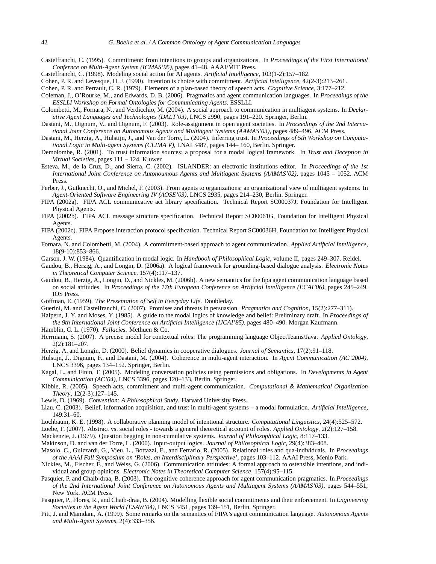- Castelfranchi, C. (1995). Commitment: from intentions to groups and organizations. In *Proceedings of the First International Confernce on Multi-Agent System (ICMAS'95)*, pages 41–48. AAAI/MIT Press.
- Castelfranchi, C. (1998). Modeling social action for AI agents. *Artificial Intelligence*, 103(1-2):157–182.
- Cohen, P. R. and Levesque, H. J. (1990). Intention is choice with commitment. *Artificial Intelligence*, 42(2-3):213–261.
- Cohen, P. R. and Perrault, C. R. (1979). Elements of a plan-based theory of speech acts. *Cognitive Science*, 3:177–212.
- Coleman, J., O'Rourke, M., and Edwards, D. B. (2006). Pragmatics and agent communication languages. In *Proceedings of the ESSLLI Workshop on Formal Ontologies for Communicating Agents*. ESSLLI.
- Colombetti, M., Fornara, N., and Verdicchio, M. (2004). A social approach to communication in multiagent systems. In *Declarative Agent Languages and Technologies (DALT'03)*, LNCS 2990, pages 191–220. Springer, Berlin.
- Dastani, M., Dignum, V., and Dignum, F. (2003). Role-assignment in open agent societies. In *Proceedings of the 2nd International Joint Conference on Autonomous Agents and Multiagent Systems (AAMAS'03)*, pages 489–496. ACM Press.
- Dastani, M., Herzig, A., Hulstijn, J., and Van der Torre, L. (2004). Inferring trust. In *Proceedings of 5th Workshop on Computational Logic in Multi-agent Systems (CLIMA V)*, LNAI 3487, pages 144– 160, Berlin. Springer.
- Demolombe, R. (2001). To trust information sources: a proposal for a modal logical framework. In *Trust and Deception in Virtual Societies*, pages 111 – 124. Kluwer.
- Esteva, M., de la Cruz, D., and Sierra, C. (2002). ISLANDER: an electronic institutions editor. In *Proceedings of the 1st International Joint Conference on Autonoumous Agents and Multiagent Systems (AAMAS'02)*, pages 1045 – 1052. ACM Press.
- Ferber, J., Gutknecht, O., and Michel, F. (2003). From agents to organizations: an organizational view of multiagent systems. In *Agent-Oriented Software Engineering IV (AOSE'03)*, LNCS 2935, pages 214–230, Berlin. Springer.
- FIPA (2002a). FIPA ACL communicative act library specification. Technical Report SC00037J, Foundation for Intelligent Physical Agents.
- FIPA (2002b). FIPA ACL message structure specification. Technical Report SC00061G, Foundation for Intelligent Physical Agents.
- FIPA (2002c). FIPA Propose interaction protocol specification. Technical Report SC00036H, Foundation for Intelligent Physical Agents.
- Fornara, N. and Colombetti, M. (2004). A commitment-based approach to agent communication. *Applied Artificial Intelligence*, 18(9-10):853–866.
- Garson, J. W. (1984). Quantification in modal logic. In *Handbook of Philosophical Logic*, volume II, pages 249–307. Reidel.
- Gaudou, B., Herzig, A., and Longin, D. (2006a). A logical framework for grounding-based dialogue analysis. *Electronic Notes in Theoretical Computer Science*, 157(4):117–137.
- Gaudou, B., Herzig, A., Longin, D., and Nickles, M. (2006b). A new semantics for the fipa agent communication language based on social attitudes. In *Proceedings of the 17th European Conference on Artificial Intelligence (ECAI'06)*, pages 245–249. IOS Press.
- Goffman, E. (1959). *The Presentation of Self in Everyday Life*. Doubleday.
- Guerini, M. and Castelfranchi, C. (2007). Promises and threats in persuasion. *Pragmatics and Cognition*, 15(2):277–311).
- Halpern, J. Y. and Moses, Y. (1985). A guide to the modal logics of knowledge and belief: Preliminary draft. In *Proceedings of the 9th International Joint Conference on Artificial Intelligence (IJCAI'85)*, pages 480–490. Morgan Kaufmann.
- Hamblin, C. L. (1970). *Fallacies*. Methuen & Co.
- Herrmann, S. (2007). A precise model for contextual roles: The programming language ObjectTeams/Java. *Applied Ontology*, 2(2):181–207.
- Herzig, A. and Longin, D. (2000). Belief dynamics in cooperative dialogues. *Journal of Semantics*, 17(2):91–118.
- Hulstijn, J., Dignum, F., and Dastani, M. (2004). Coherence in multi-agent interaction. In *Agent Communication (AC'2004)*, LNCS 3396, pages 134–152. Springer, Berlin.
- Kagal, L. and Finin, T. (2005). Modeling conversation policies using permissions and obligations. In *Developments in Agent Communication (AC'04)*, LNCS 3396, pages 120–133, Berlin. Springer.
- Kibble, R. (2005). Speech acts, commitment and multi-agent communication. *Computational & Mathematical Organization Theory*, 12(2-3):127–145.
- Lewis, D. (1969). *Convention: A Philosophical Study.* Harvard University Press.
- Liau, C. (2003). Belief, information acquisition, and trust in multi-agent systems a modal formulation. *Artificial Intelligence*, 149:31–60.
- Lochbaum, K. E. (1998). A collaborative planning model of intentional structure. *Computational Linguistics*, 24(4):525–572.
- Loebe, F. (2007). Abstract vs. social roles towards a general theoretical account of roles. *Applied Ontology*, 2(2):127–158.
- Mackenzie, J. (1979). Question begging in non-cumulative systems. *Journal of Philosophical Logic*, 8:117–133.

Makinson, D. and van der Torre, L. (2000). Input-output logics. *Journal of Philosophical Logic*, 29(4):383–408.

- Masolo, C., Guizzardi, G., Vieu, L., Bottazzi, E., and Ferrario, R. (2005). Relational roles and qua-individuals. In *Proceedings of the AAAI Fall Symposium on 'Roles, an Interdisciplinary Perspective'*, pages 103–112. AAAI Press, Menlo Park.
- Nickles, M., Fischer, F., and Weiss, G. (2006). Communication attitudes: A formal approach to ostensible intentions, and individual and group opinions. *Electronic Notes in Theoretical Computer Science*, 157(4):95–115.
- Pasquier, P. and Chaib-draa, B. (2003). The cognitive coherence approach for agent communication pragmatics. In *Proceedings of the 2nd International Joint Conference on Autonomous Agents and Multiagent Systems (AAMAS'03)*, pages 544–551, New York. ACM Press.
- Pasquier, P., Flores, R., and Chaib-draa, B. (2004). Modelling flexible social commitments and their enforcement. In *Engineering Societies in the Agent World (ESAW'04)*, LNCS 3451, pages 139–151, Berlin. Springer.
- Pitt, J. and Mamdani, A. (1999). Some remarks on the semantics of FIPA's agent communication language. *Autonomous Agents and Multi-Agent Systems*, 2(4):333–356.